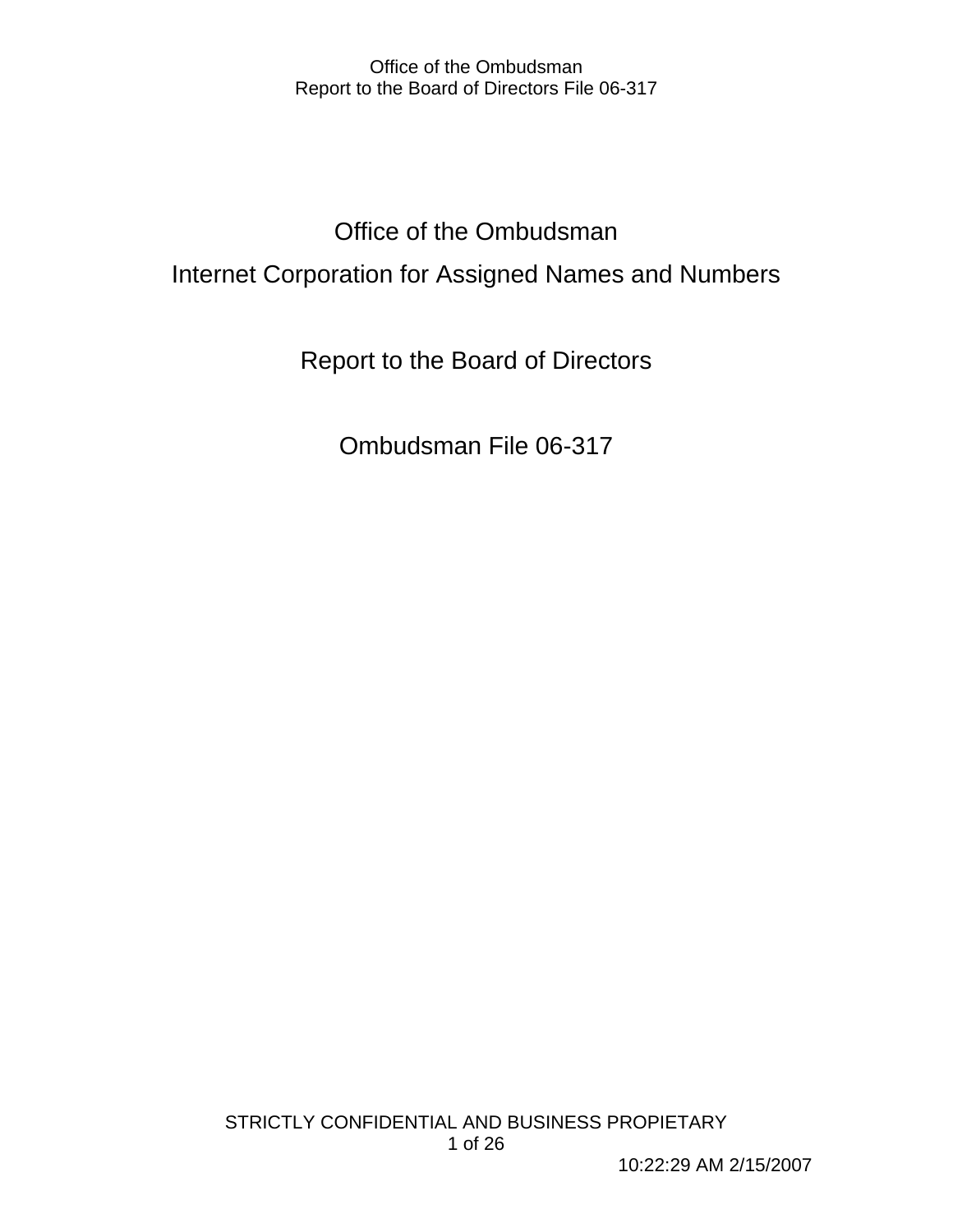# Office of the Ombudsman Internet Corporation for Assigned Names and Numbers

Report to the Board of Directors

Ombudsman File 06-317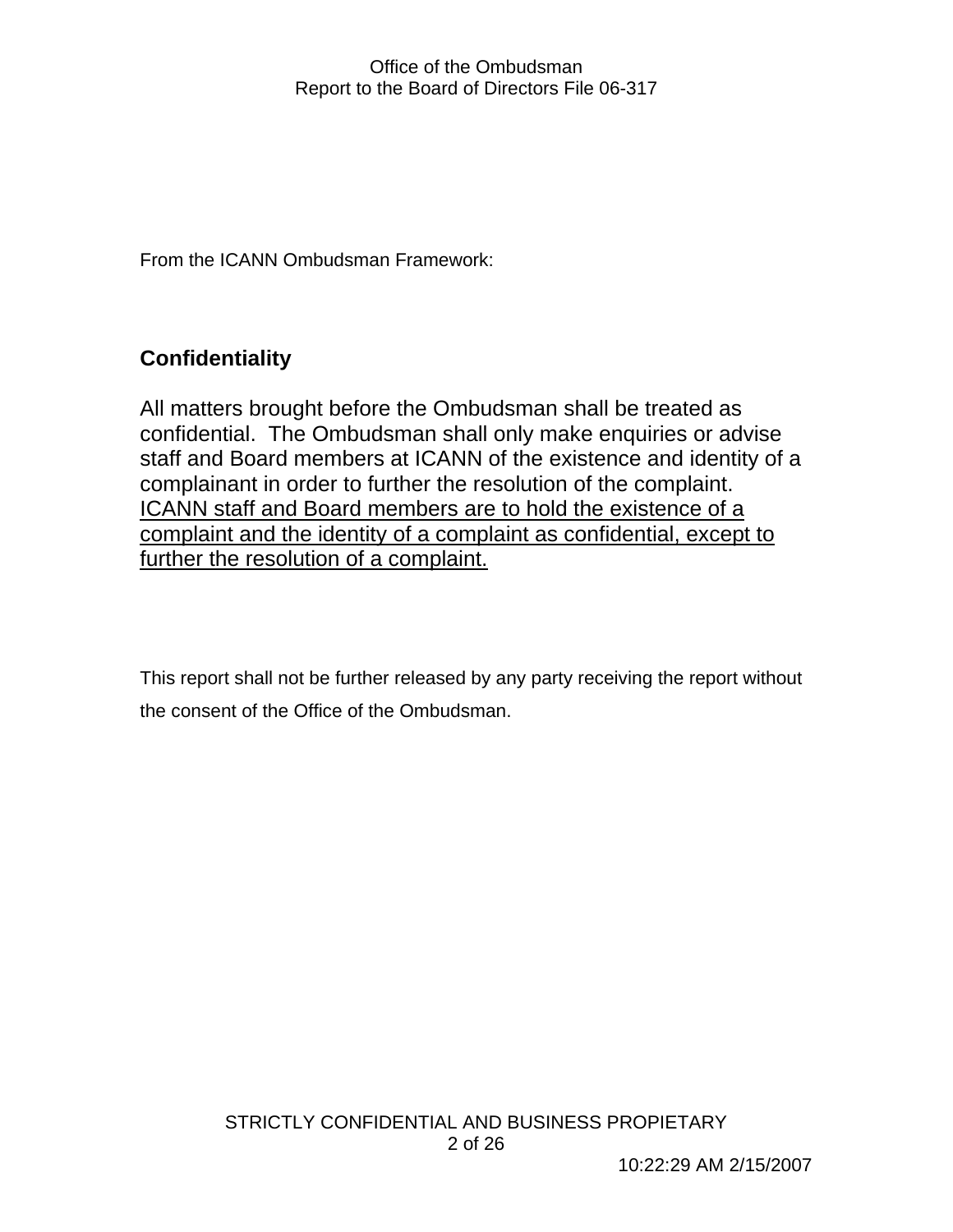From the ICANN Ombudsman Framework:

## **Confidentiality**

All matters brought before the Ombudsman shall be treated as confidential. The Ombudsman shall only make enquiries or advise staff and Board members at ICANN of the existence and identity of a complainant in order to further the resolution of the complaint. ICANN staff and Board members are to hold the existence of a complaint and the identity of a complaint as confidential, except to further the resolution of a complaint.

This report shall not be further released by any party receiving the report without the consent of the Office of the Ombudsman.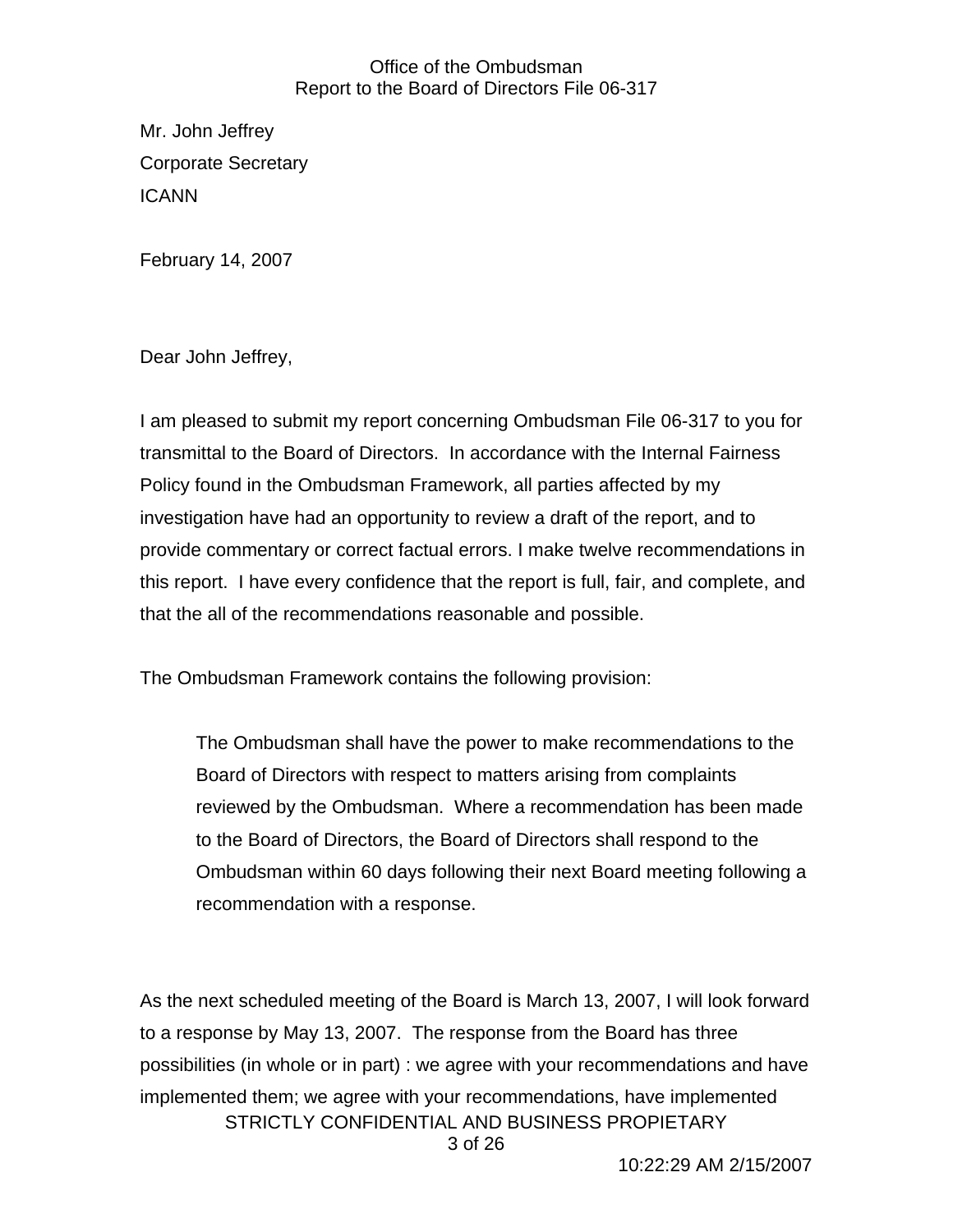Mr. John Jeffrey Corporate Secretary ICANN

February 14, 2007

Dear John Jeffrey,

I am pleased to submit my report concerning Ombudsman File 06-317 to you for transmittal to the Board of Directors. In accordance with the Internal Fairness Policy found in the Ombudsman Framework, all parties affected by my investigation have had an opportunity to review a draft of the report, and to provide commentary or correct factual errors. I make twelve recommendations in this report. I have every confidence that the report is full, fair, and complete, and that the all of the recommendations reasonable and possible.

The Ombudsman Framework contains the following provision:

The Ombudsman shall have the power to make recommendations to the Board of Directors with respect to matters arising from complaints reviewed by the Ombudsman. Where a recommendation has been made to the Board of Directors, the Board of Directors shall respond to the Ombudsman within 60 days following their next Board meeting following a recommendation with a response.

STRICTLY CONFIDENTIAL AND BUSINESS PROPIETARY 3 of 26 As the next scheduled meeting of the Board is March 13, 2007, I will look forward to a response by May 13, 2007. The response from the Board has three possibilities (in whole or in part) : we agree with your recommendations and have implemented them; we agree with your recommendations, have implemented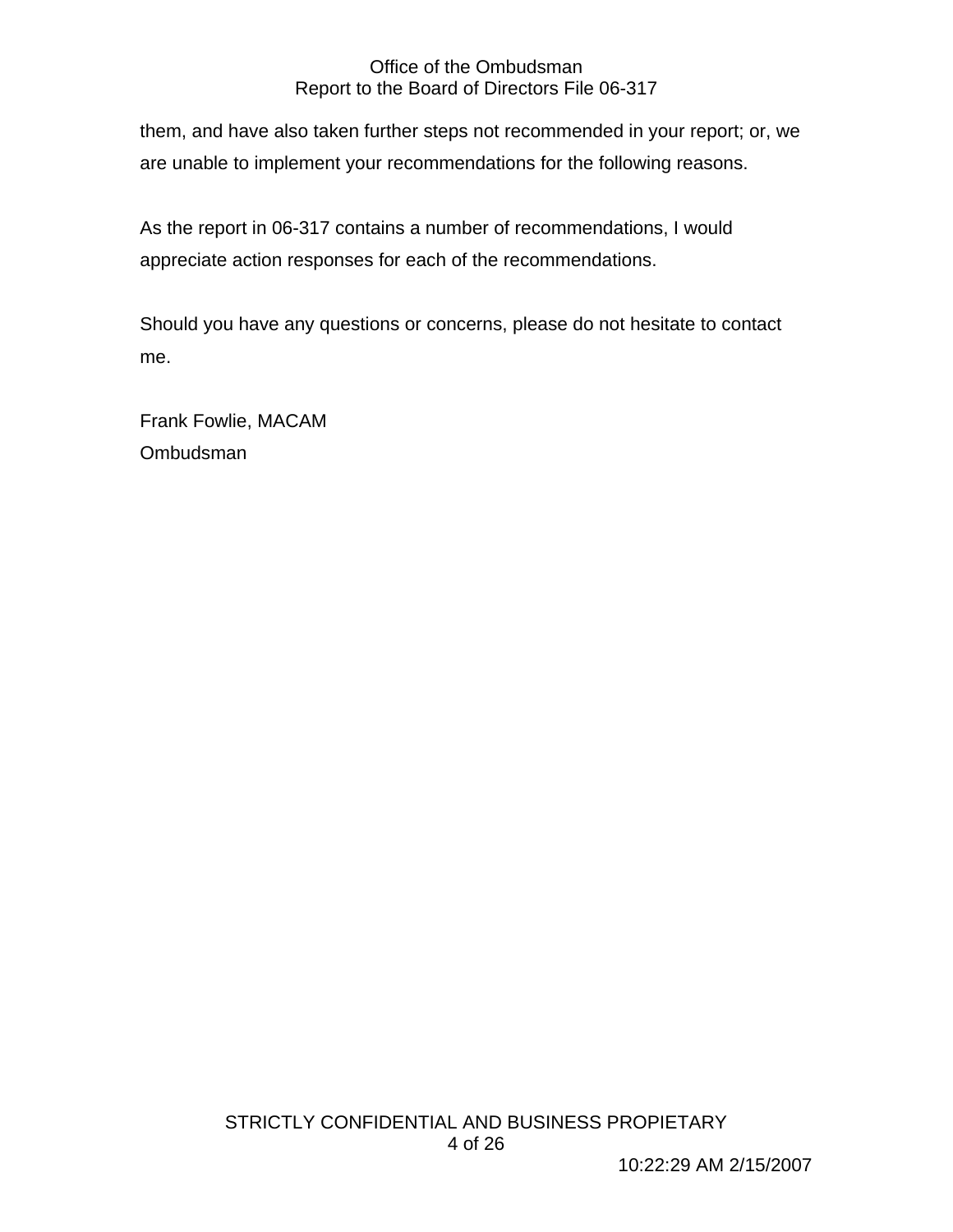them, and have also taken further steps not recommended in your report; or, we are unable to implement your recommendations for the following reasons.

As the report in 06-317 contains a number of recommendations, I would appreciate action responses for each of the recommendations.

Should you have any questions or concerns, please do not hesitate to contact me.

Frank Fowlie, MACAM Ombudsman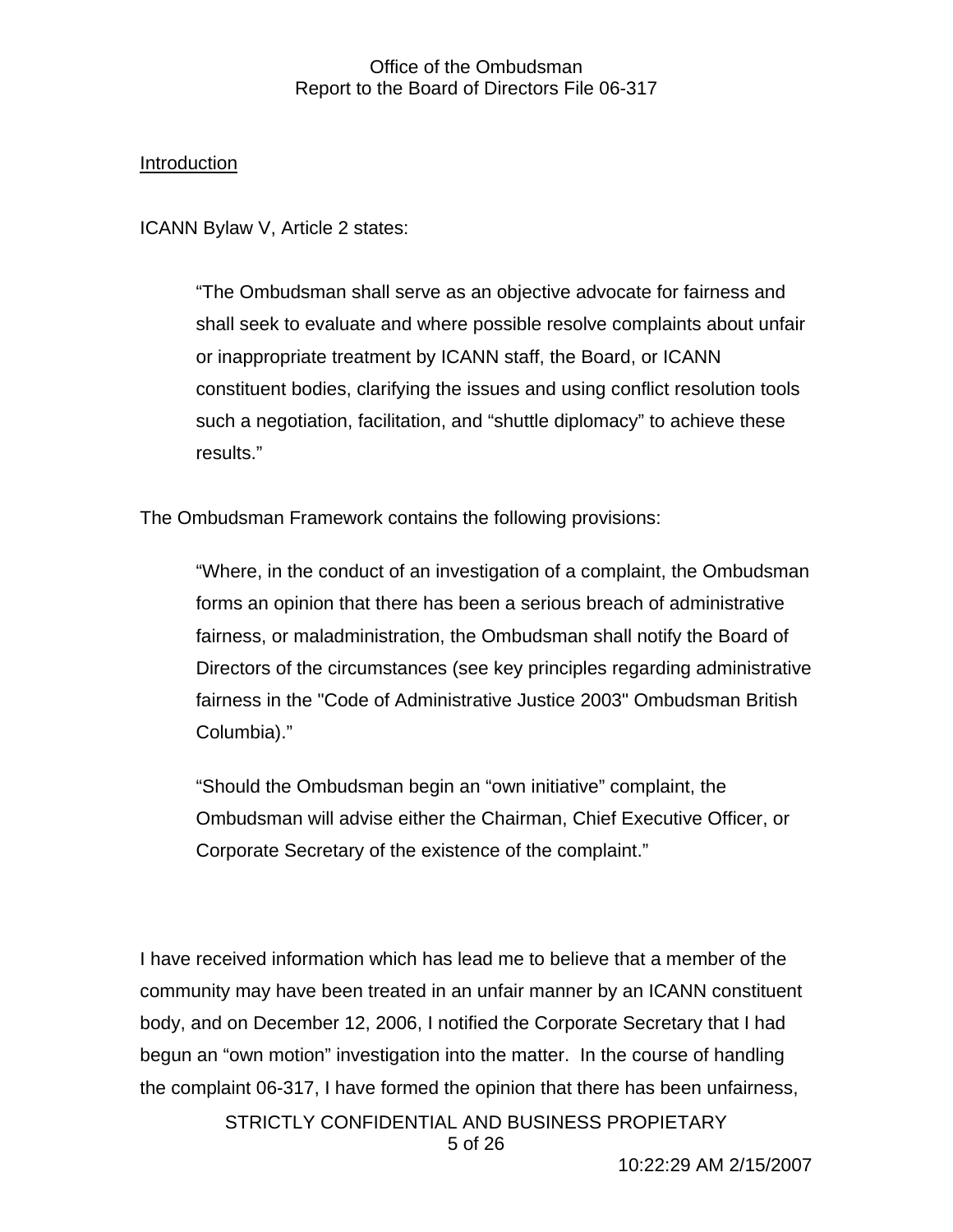## Introduction

ICANN Bylaw V, Article 2 states:

"The Ombudsman shall serve as an objective advocate for fairness and shall seek to evaluate and where possible resolve complaints about unfair or inappropriate treatment by ICANN staff, the Board, or ICANN constituent bodies, clarifying the issues and using conflict resolution tools such a negotiation, facilitation, and "shuttle diplomacy" to achieve these results."

The Ombudsman Framework contains the following provisions:

"Where, in the conduct of an investigation of a complaint, the Ombudsman forms an opinion that there has been a serious breach of administrative fairness, or maladministration, the Ombudsman shall notify the Board of Directors of the circumstances (see key principles regarding administrative fairness in the "Code of Administrative Justice 2003" Ombudsman British Columbia)."

"Should the Ombudsman begin an "own initiative" complaint, the Ombudsman will advise either the Chairman, Chief Executive Officer, or Corporate Secretary of the existence of the complaint."

I have received information which has lead me to believe that a member of the community may have been treated in an unfair manner by an ICANN constituent body, and on December 12, 2006, I notified the Corporate Secretary that I had begun an "own motion" investigation into the matter. In the course of handling the complaint 06-317, I have formed the opinion that there has been unfairness,

> STRICTLY CONFIDENTIAL AND BUSINESS PROPIETARY 5 of 26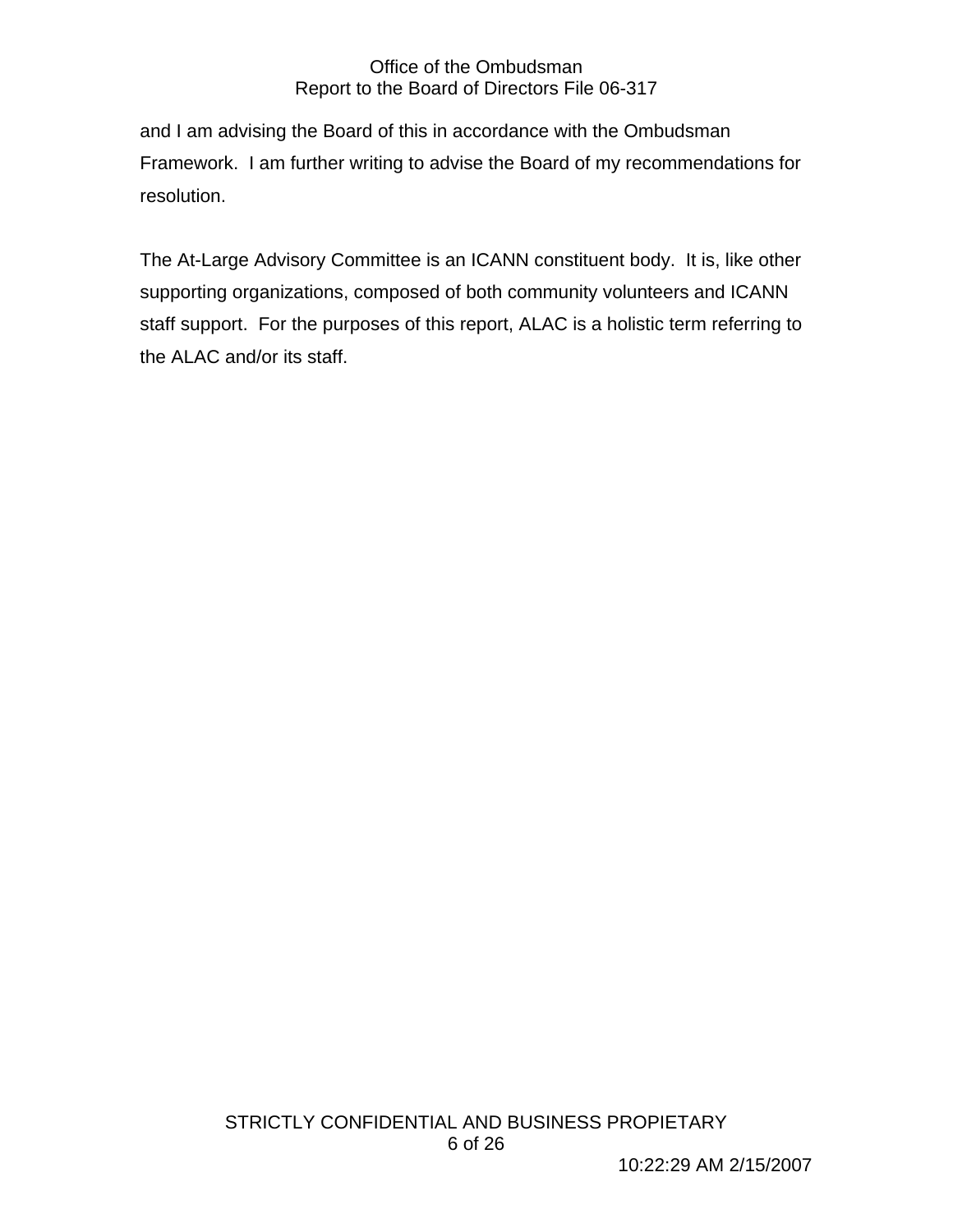and I am advising the Board of this in accordance with the Ombudsman Framework. I am further writing to advise the Board of my recommendations for resolution.

The At-Large Advisory Committee is an ICANN constituent body. It is, like other supporting organizations, composed of both community volunteers and ICANN staff support. For the purposes of this report, ALAC is a holistic term referring to the ALAC and/or its staff.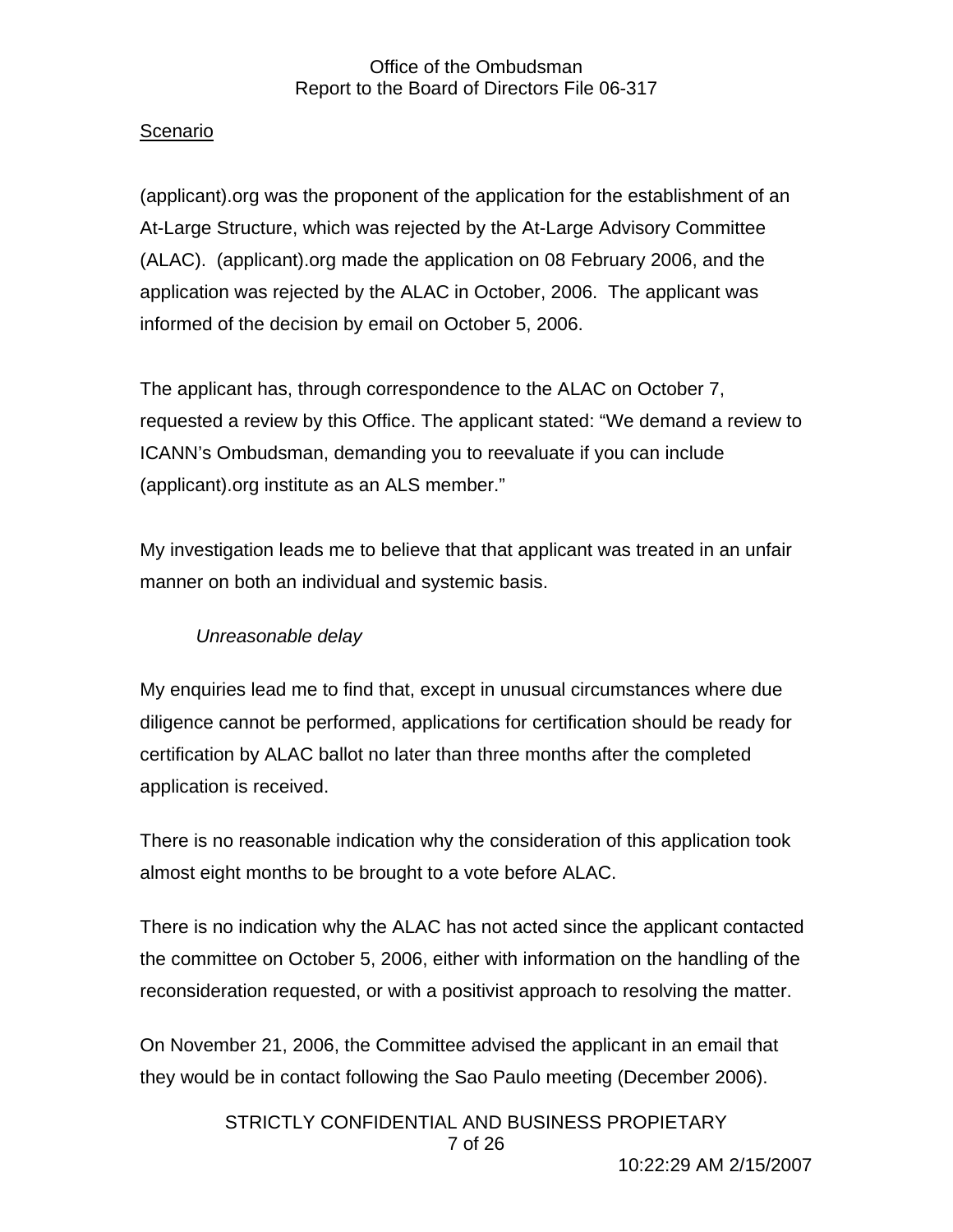## Scenario

(applicant).org was the proponent of the application for the establishment of an At-Large Structure, which was rejected by the At-Large Advisory Committee (ALAC). (applicant).org made the application on 08 February 2006, and the application was rejected by the ALAC in October, 2006. The applicant was informed of the decision by email on October 5, 2006.

The applicant has, through correspondence to the ALAC on October 7, requested a review by this Office. The applicant stated: "We demand a review to ICANN's Ombudsman, demanding you to reevaluate if you can include (applicant).org institute as an ALS member."

My investigation leads me to believe that that applicant was treated in an unfair manner on both an individual and systemic basis.

## *Unreasonable delay*

My enquiries lead me to find that, except in unusual circumstances where due diligence cannot be performed, applications for certification should be ready for certification by ALAC ballot no later than three months after the completed application is received.

There is no reasonable indication why the consideration of this application took almost eight months to be brought to a vote before ALAC.

There is no indication why the ALAC has not acted since the applicant contacted the committee on October 5, 2006, either with information on the handling of the reconsideration requested, or with a positivist approach to resolving the matter.

On November 21, 2006, the Committee advised the applicant in an email that they would be in contact following the Sao Paulo meeting (December 2006).

> STRICTLY CONFIDENTIAL AND BUSINESS PROPIETARY 7 of 26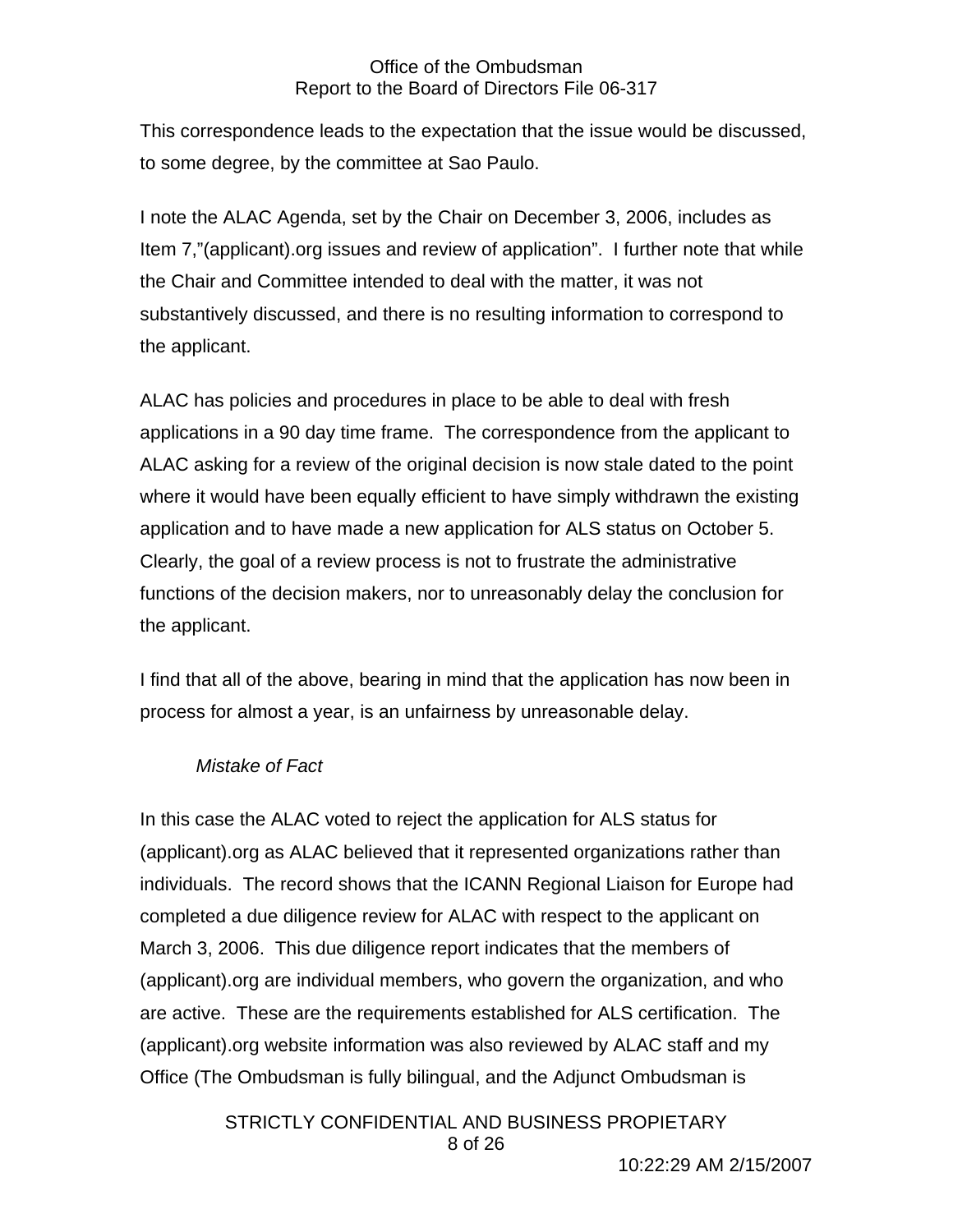This correspondence leads to the expectation that the issue would be discussed, to some degree, by the committee at Sao Paulo.

I note the ALAC Agenda, set by the Chair on December 3, 2006, includes as Item 7,"(applicant).org issues and review of application". I further note that while the Chair and Committee intended to deal with the matter, it was not substantively discussed, and there is no resulting information to correspond to the applicant.

ALAC has policies and procedures in place to be able to deal with fresh applications in a 90 day time frame. The correspondence from the applicant to ALAC asking for a review of the original decision is now stale dated to the point where it would have been equally efficient to have simply withdrawn the existing application and to have made a new application for ALS status on October 5. Clearly, the goal of a review process is not to frustrate the administrative functions of the decision makers, nor to unreasonably delay the conclusion for the applicant.

I find that all of the above, bearing in mind that the application has now been in process for almost a year, is an unfairness by unreasonable delay.

## *Mistake of Fact*

In this case the ALAC voted to reject the application for ALS status for (applicant).org as ALAC believed that it represented organizations rather than individuals. The record shows that the ICANN Regional Liaison for Europe had completed a due diligence review for ALAC with respect to the applicant on March 3, 2006. This due diligence report indicates that the members of (applicant).org are individual members, who govern the organization, and who are active. These are the requirements established for ALS certification. The (applicant).org website information was also reviewed by ALAC staff and my Office (The Ombudsman is fully bilingual, and the Adjunct Ombudsman is

> STRICTLY CONFIDENTIAL AND BUSINESS PROPIETARY 8 of 26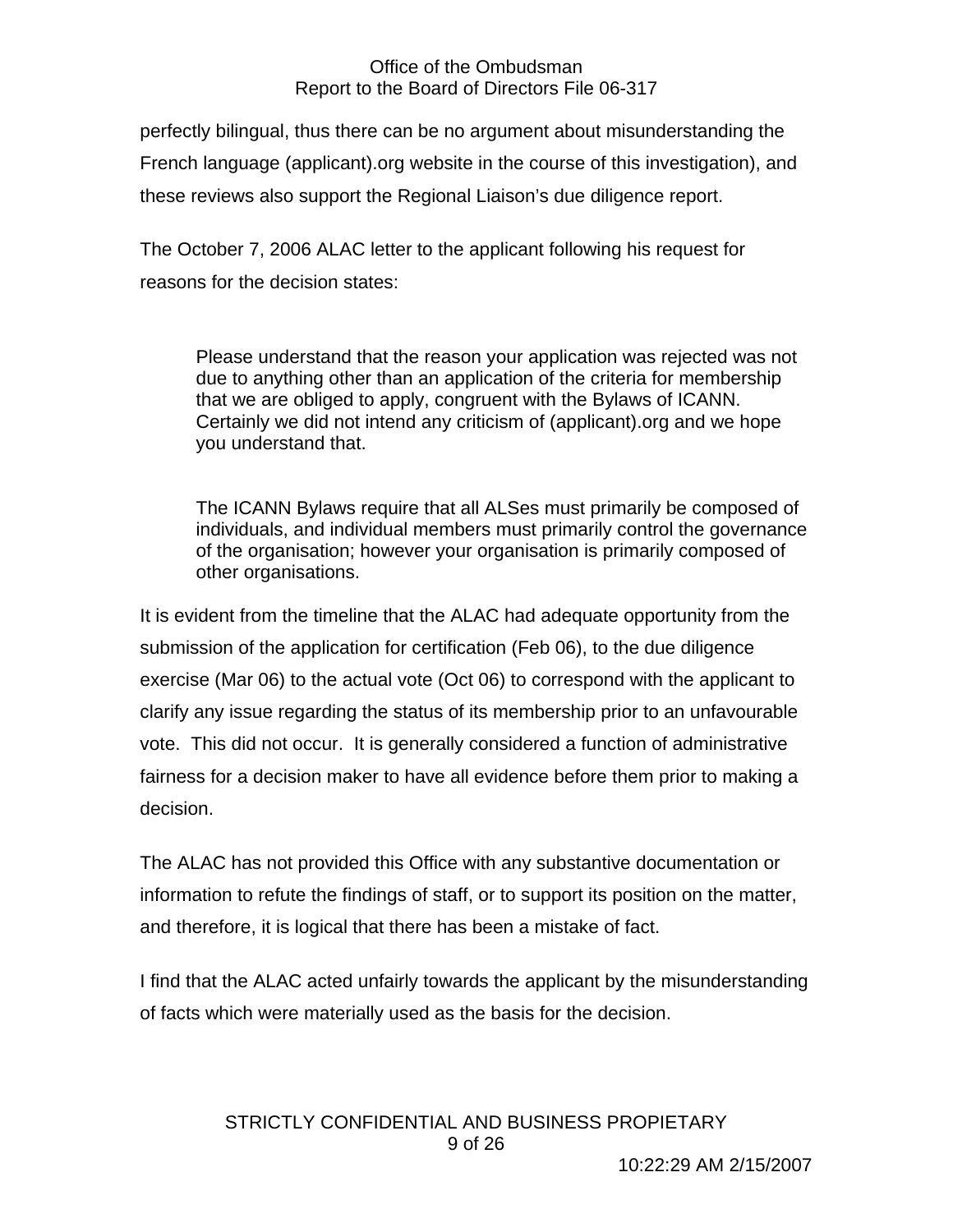perfectly bilingual, thus there can be no argument about misunderstanding the French language (applicant).org website in the course of this investigation), and these reviews also support the Regional Liaison's due diligence report.

The October 7, 2006 ALAC letter to the applicant following his request for reasons for the decision states:

Please understand that the reason your application was rejected was not due to anything other than an application of the criteria for membership that we are obliged to apply, congruent with the Bylaws of ICANN. Certainly we did not intend any criticism of (applicant).org and we hope you understand that.

The ICANN Bylaws require that all ALSes must primarily be composed of individuals, and individual members must primarily control the governance of the organisation; however your organisation is primarily composed of other organisations.

It is evident from the timeline that the ALAC had adequate opportunity from the submission of the application for certification (Feb 06), to the due diligence exercise (Mar 06) to the actual vote (Oct 06) to correspond with the applicant to clarify any issue regarding the status of its membership prior to an unfavourable vote. This did not occur. It is generally considered a function of administrative fairness for a decision maker to have all evidence before them prior to making a decision.

The ALAC has not provided this Office with any substantive documentation or information to refute the findings of staff, or to support its position on the matter, and therefore, it is logical that there has been a mistake of fact.

I find that the ALAC acted unfairly towards the applicant by the misunderstanding of facts which were materially used as the basis for the decision.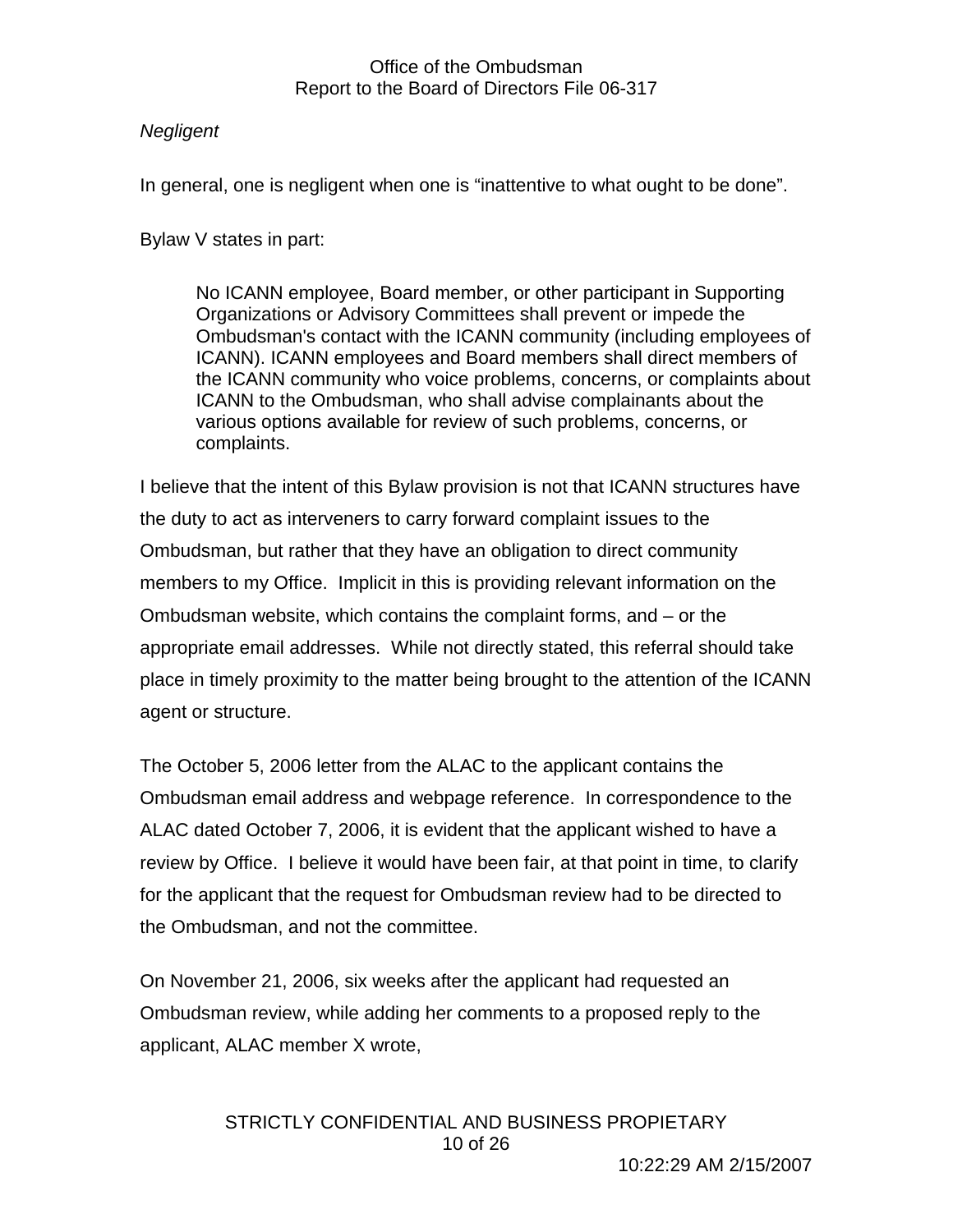## *Negligent*

In general, one is negligent when one is "inattentive to what ought to be done".

Bylaw V states in part:

No ICANN employee, Board member, or other participant in Supporting Organizations or Advisory Committees shall prevent or impede the Ombudsman's contact with the ICANN community (including employees of ICANN). ICANN employees and Board members shall direct members of the ICANN community who voice problems, concerns, or complaints about ICANN to the Ombudsman, who shall advise complainants about the various options available for review of such problems, concerns, or complaints.

I believe that the intent of this Bylaw provision is not that ICANN structures have the duty to act as interveners to carry forward complaint issues to the Ombudsman, but rather that they have an obligation to direct community members to my Office. Implicit in this is providing relevant information on the Ombudsman website, which contains the complaint forms, and – or the appropriate email addresses. While not directly stated, this referral should take place in timely proximity to the matter being brought to the attention of the ICANN agent or structure.

The October 5, 2006 letter from the ALAC to the applicant contains the Ombudsman email address and webpage reference. In correspondence to the ALAC dated October 7, 2006, it is evident that the applicant wished to have a review by Office. I believe it would have been fair, at that point in time, to clarify for the applicant that the request for Ombudsman review had to be directed to the Ombudsman, and not the committee.

On November 21, 2006, six weeks after the applicant had requested an Ombudsman review, while adding her comments to a proposed reply to the applicant, ALAC member X wrote,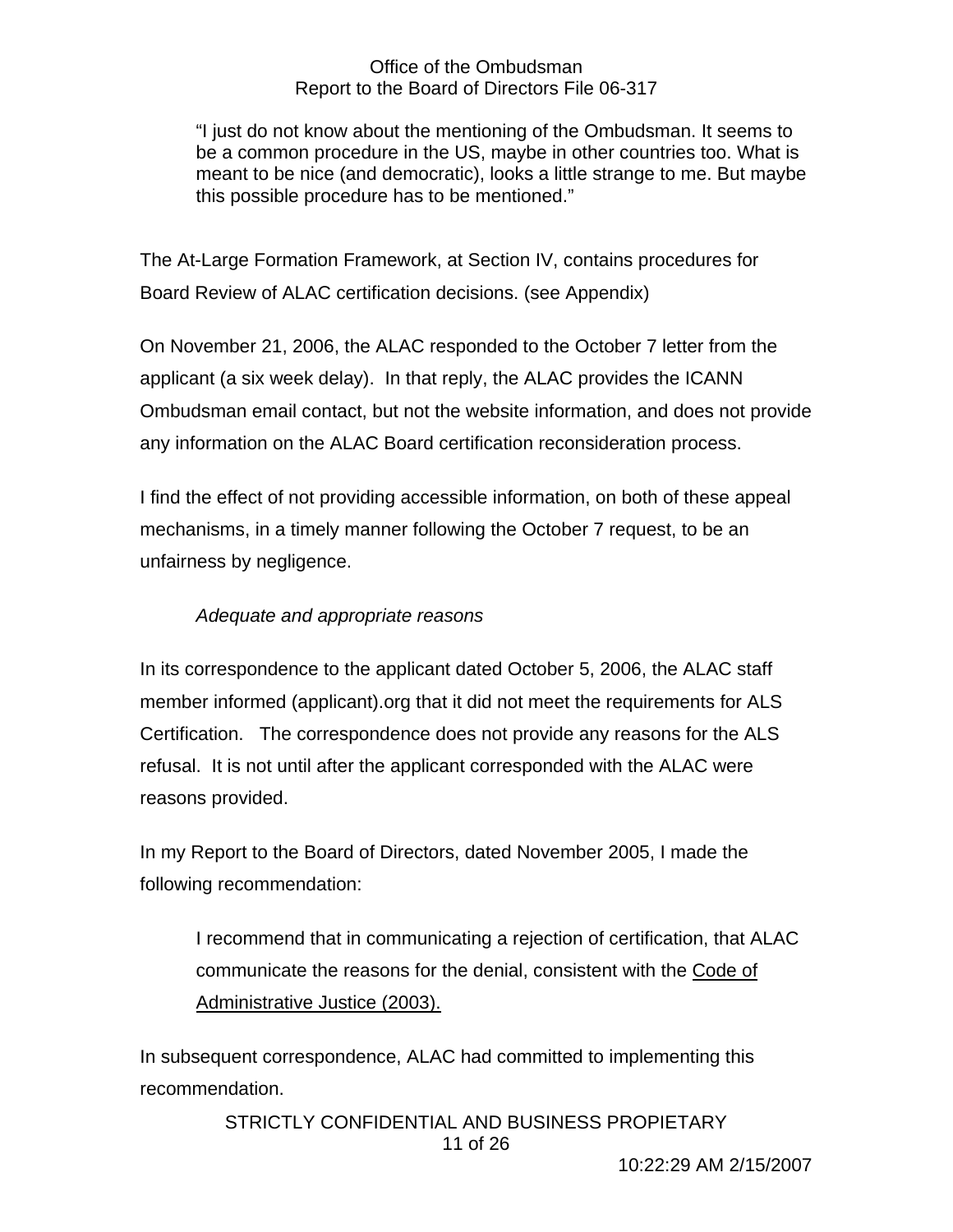"I just do not know about the mentioning of the Ombudsman. It seems to be a common procedure in the US, maybe in other countries too. What is meant to be nice (and democratic), looks a little strange to me. But maybe this possible procedure has to be mentioned."

The At-Large Formation Framework, at Section IV, contains procedures for Board Review of ALAC certification decisions. (see Appendix)

On November 21, 2006, the ALAC responded to the October 7 letter from the applicant (a six week delay). In that reply, the ALAC provides the ICANN Ombudsman email contact, but not the website information, and does not provide any information on the ALAC Board certification reconsideration process.

I find the effect of not providing accessible information, on both of these appeal mechanisms, in a timely manner following the October 7 request, to be an unfairness by negligence.

## *Adequate and appropriate reasons*

In its correspondence to the applicant dated October 5, 2006, the ALAC staff member informed (applicant).org that it did not meet the requirements for ALS Certification. The correspondence does not provide any reasons for the ALS refusal. It is not until after the applicant corresponded with the ALAC were reasons provided.

In my Report to the Board of Directors, dated November 2005, I made the following recommendation:

I recommend that in communicating a rejection of certification, that ALAC communicate the reasons for the denial, consistent with the Code of Administrative Justice (2003).

In subsequent correspondence, ALAC had committed to implementing this recommendation.

> STRICTLY CONFIDENTIAL AND BUSINESS PROPIETARY 11 of 26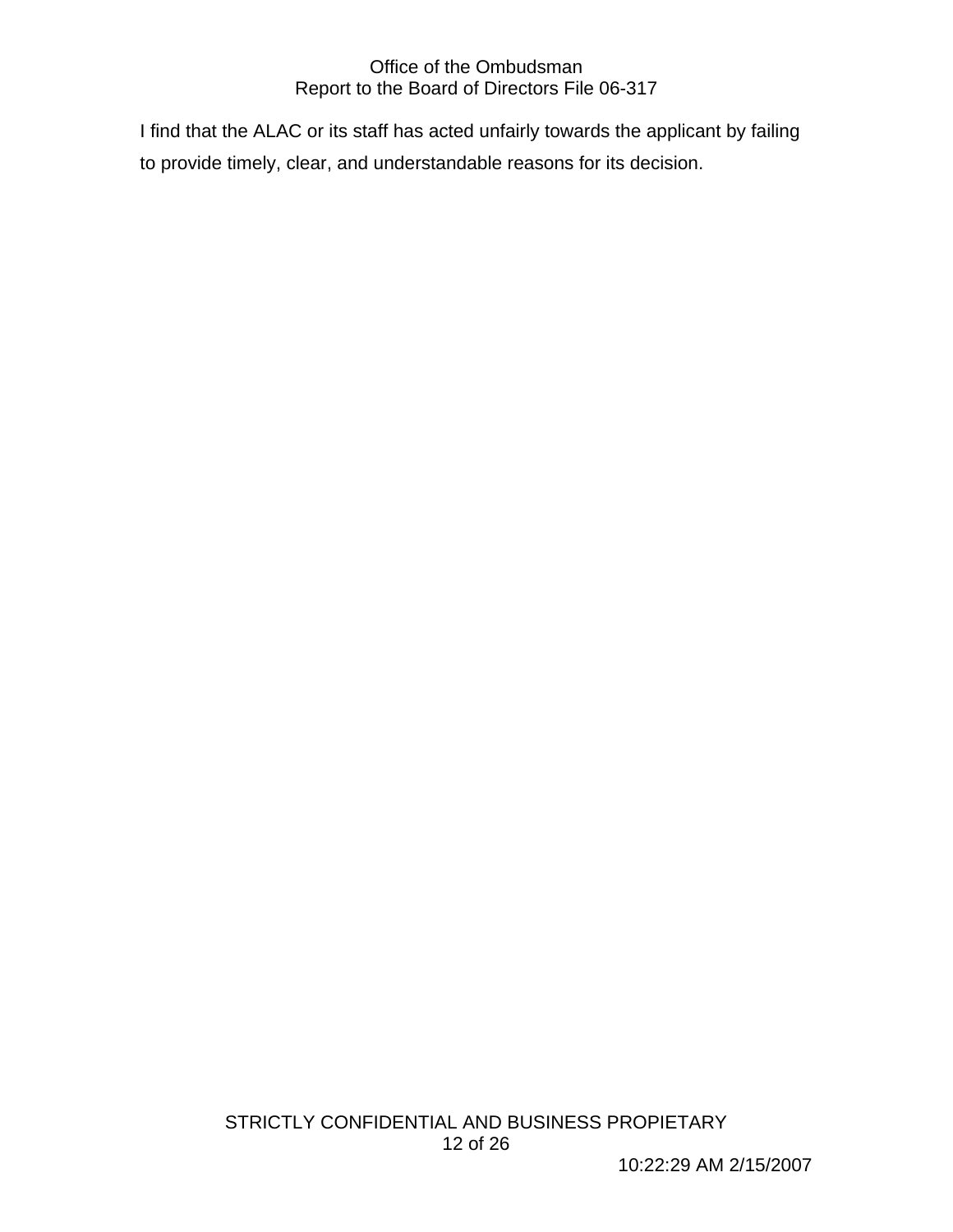I find that the ALAC or its staff has acted unfairly towards the applicant by failing to provide timely, clear, and understandable reasons for its decision.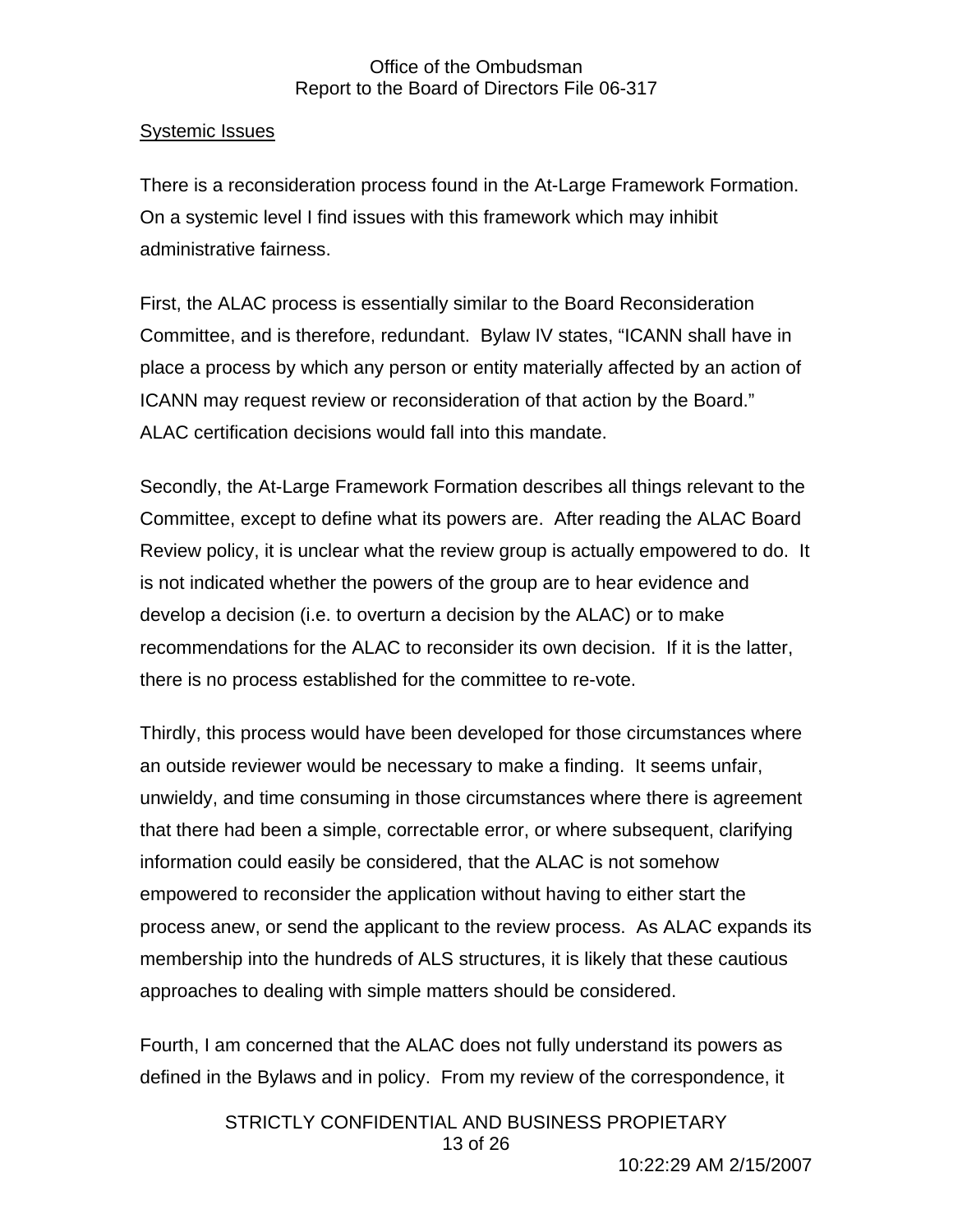## Systemic Issues

There is a reconsideration process found in the At-Large Framework Formation. On a systemic level I find issues with this framework which may inhibit administrative fairness.

First, the ALAC process is essentially similar to the Board Reconsideration Committee, and is therefore, redundant. Bylaw IV states, "ICANN shall have in place a process by which any person or entity materially affected by an action of ICANN may request review or reconsideration of that action by the Board." ALAC certification decisions would fall into this mandate.

Secondly, the At-Large Framework Formation describes all things relevant to the Committee, except to define what its powers are. After reading the ALAC Board Review policy, it is unclear what the review group is actually empowered to do. It is not indicated whether the powers of the group are to hear evidence and develop a decision (i.e. to overturn a decision by the ALAC) or to make recommendations for the ALAC to reconsider its own decision. If it is the latter, there is no process established for the committee to re-vote.

Thirdly, this process would have been developed for those circumstances where an outside reviewer would be necessary to make a finding. It seems unfair, unwieldy, and time consuming in those circumstances where there is agreement that there had been a simple, correctable error, or where subsequent, clarifying information could easily be considered, that the ALAC is not somehow empowered to reconsider the application without having to either start the process anew, or send the applicant to the review process. As ALAC expands its membership into the hundreds of ALS structures, it is likely that these cautious approaches to dealing with simple matters should be considered.

Fourth, I am concerned that the ALAC does not fully understand its powers as defined in the Bylaws and in policy. From my review of the correspondence, it

> STRICTLY CONFIDENTIAL AND BUSINESS PROPIETARY 13 of 26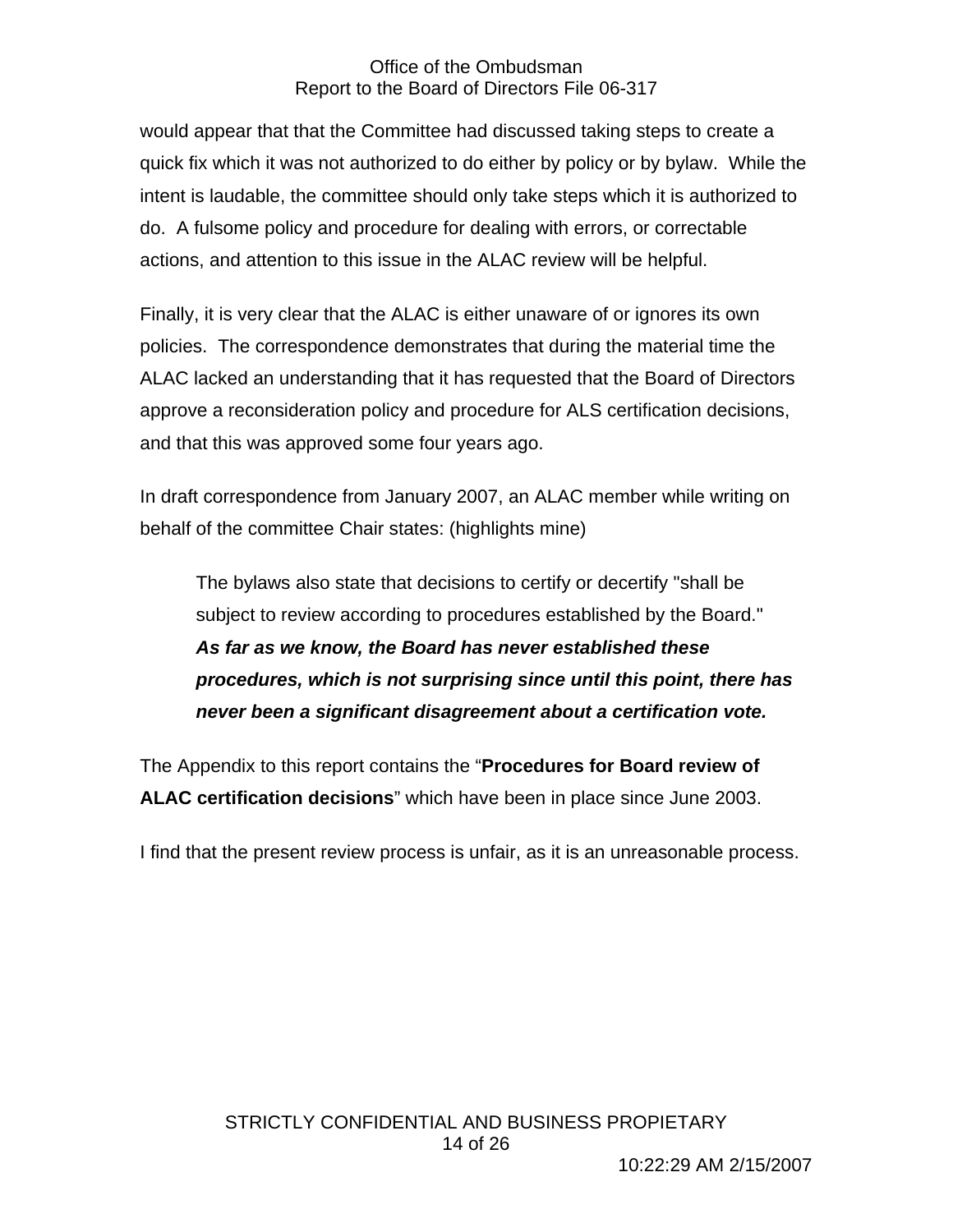would appear that that the Committee had discussed taking steps to create a quick fix which it was not authorized to do either by policy or by bylaw. While the intent is laudable, the committee should only take steps which it is authorized to do. A fulsome policy and procedure for dealing with errors, or correctable actions, and attention to this issue in the ALAC review will be helpful.

Finally, it is very clear that the ALAC is either unaware of or ignores its own policies. The correspondence demonstrates that during the material time the ALAC lacked an understanding that it has requested that the Board of Directors approve a reconsideration policy and procedure for ALS certification decisions, and that this was approved some four years ago.

In draft correspondence from January 2007, an ALAC member while writing on behalf of the committee Chair states: (highlights mine)

The bylaws also state that decisions to certify or decertify "shall be subject to review according to procedures established by the Board." *As far as we know, the Board has never established these procedures, which is not surprising since until this point, there has never been a significant disagreement about a certification vote.* 

The Appendix to this report contains the "**Procedures for Board review of ALAC certification decisions**" which have been in place since June 2003.

I find that the present review process is unfair, as it is an unreasonable process.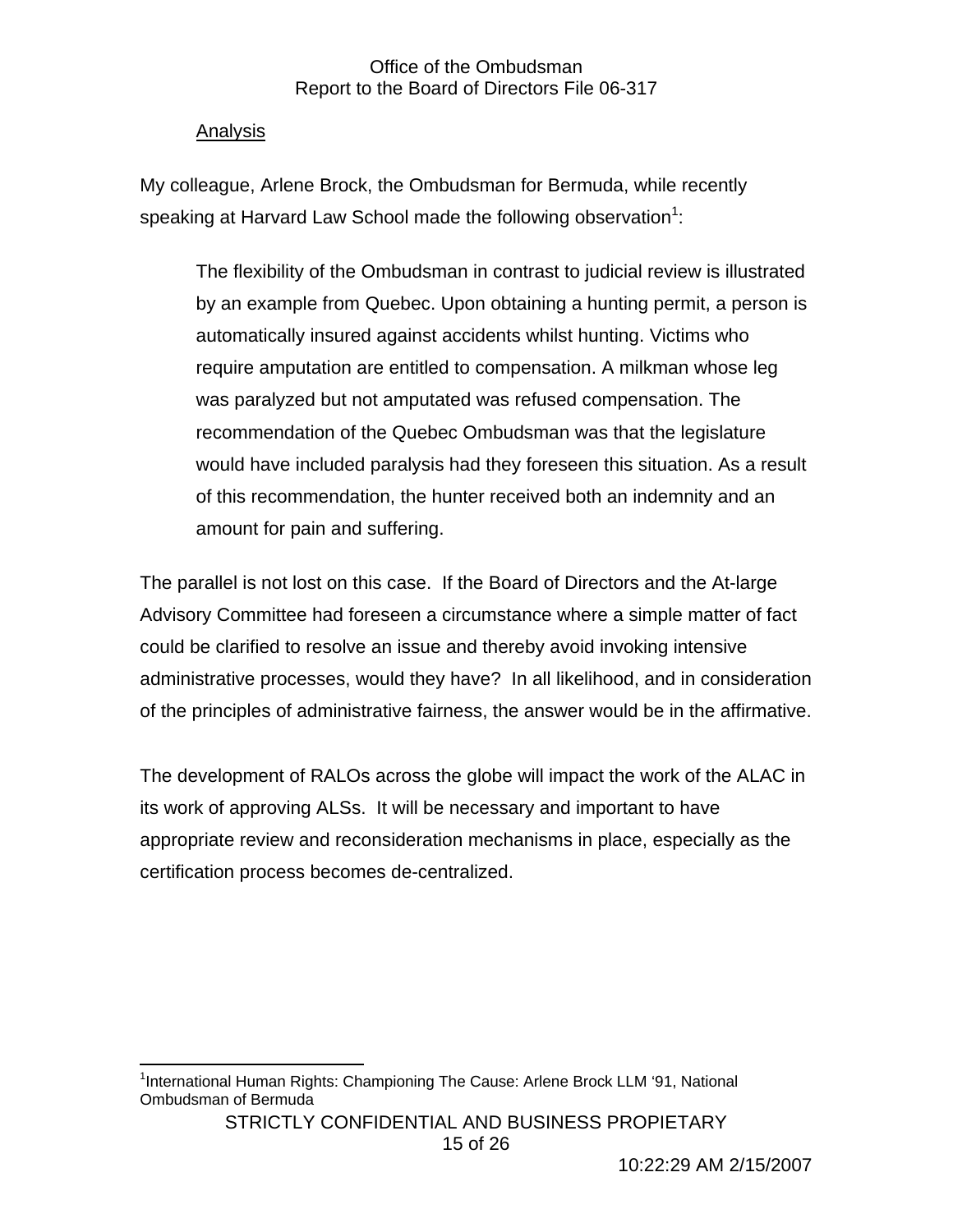## Analysis

My colleague, Arlene Brock, the Ombudsman for Bermuda, while recently speaking at Harvard Law School made the following observation<sup>1</sup>:

The flexibility of the Ombudsman in contrast to judicial review is illustrated by an example from Quebec. Upon obtaining a hunting permit, a person is automatically insured against accidents whilst hunting. Victims who require amputation are entitled to compensation. A milkman whose leg was paralyzed but not amputated was refused compensation. The recommendation of the Quebec Ombudsman was that the legislature would have included paralysis had they foreseen this situation. As a result of this recommendation, the hunter received both an indemnity and an amount for pain and suffering.

The parallel is not lost on this case. If the Board of Directors and the At-large Advisory Committee had foreseen a circumstance where a simple matter of fact could be clarified to resolve an issue and thereby avoid invoking intensive administrative processes, would they have? In all likelihood, and in consideration of the principles of administrative fairness, the answer would be in the affirmative.

The development of RALOs across the globe will impact the work of the ALAC in its work of approving ALSs. It will be necessary and important to have appropriate review and reconsideration mechanisms in place, especially as the certification process becomes de-centralized.

 $\overline{a}$ <sup>1</sup>International Human Rights: Championing The Cause: Arlene Brock LLM '91, National Ombudsman of Bermuda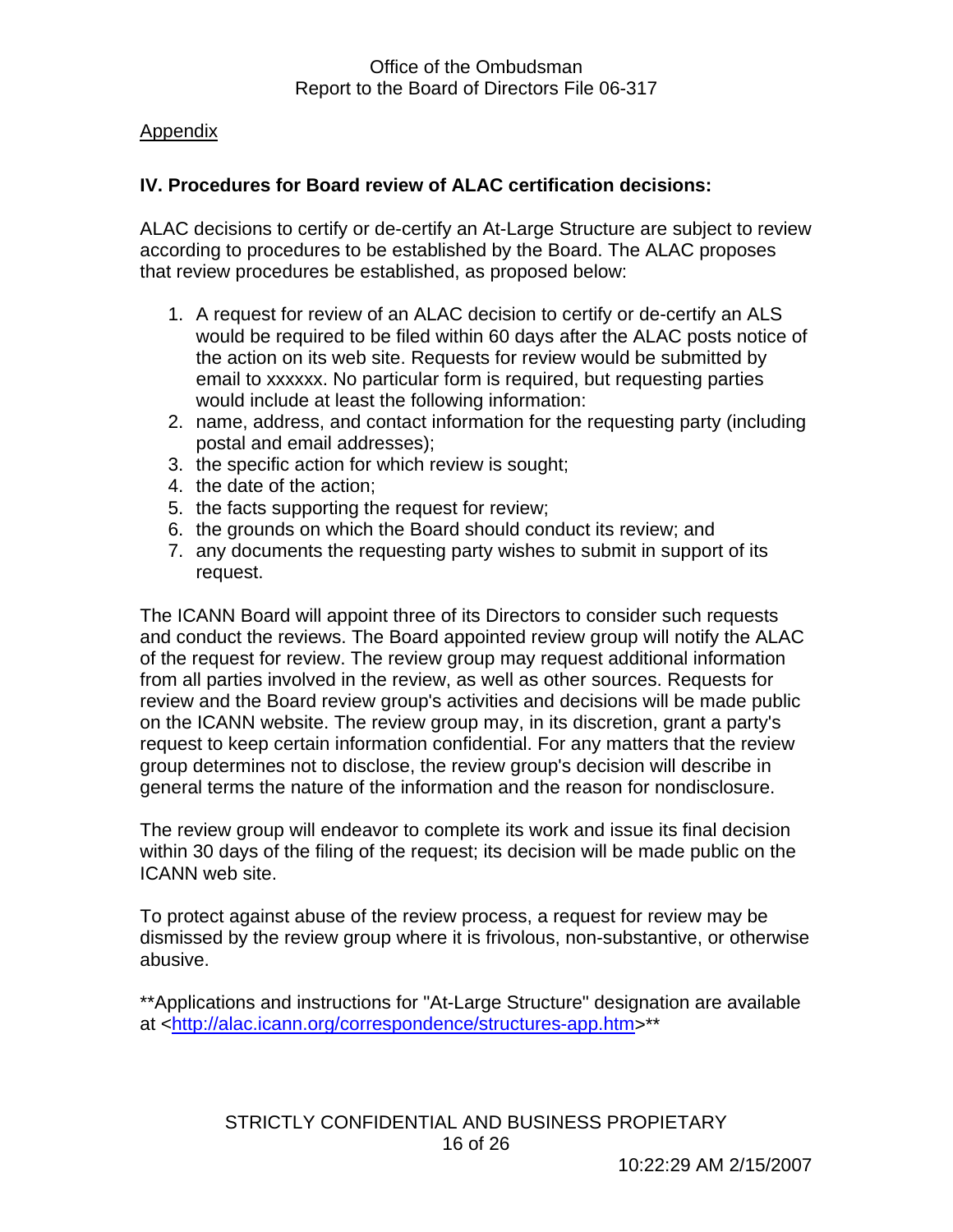## Appendix

## **IV. Procedures for Board review of ALAC certification decisions:**

ALAC decisions to certify or de-certify an At-Large Structure are subject to review according to procedures to be established by the Board. The ALAC proposes that review procedures be established, as proposed below:

- 1. A request for review of an ALAC decision to certify or de-certify an ALS would be required to be filed within 60 days after the ALAC posts notice of the action on its web site. Requests for review would be submitted by email to xxxxxx. No particular form is required, but requesting parties would include at least the following information:
- 2. name, address, and contact information for the requesting party (including postal and email addresses);
- 3. the specific action for which review is sought;
- 4. the date of the action;
- 5. the facts supporting the request for review;
- 6. the grounds on which the Board should conduct its review; and
- 7. any documents the requesting party wishes to submit in support of its request.

The ICANN Board will appoint three of its Directors to consider such requests and conduct the reviews. The Board appointed review group will notify the ALAC of the request for review. The review group may request additional information from all parties involved in the review, as well as other sources. Requests for review and the Board review group's activities and decisions will be made public on the ICANN website. The review group may, in its discretion, grant a party's request to keep certain information confidential. For any matters that the review group determines not to disclose, the review group's decision will describe in general terms the nature of the information and the reason for nondisclosure.

The review group will endeavor to complete its work and issue its final decision within 30 days of the filing of the request; its decision will be made public on the ICANN web site.

To protect against abuse of the review process, a request for review may be dismissed by the review group where it is frivolous, non-substantive, or otherwise abusive.

\*\*Applications and instructions for "At-Large Structure" designation are available at <http://alac.icann.org/correspondence/structures-app.htm>\*\*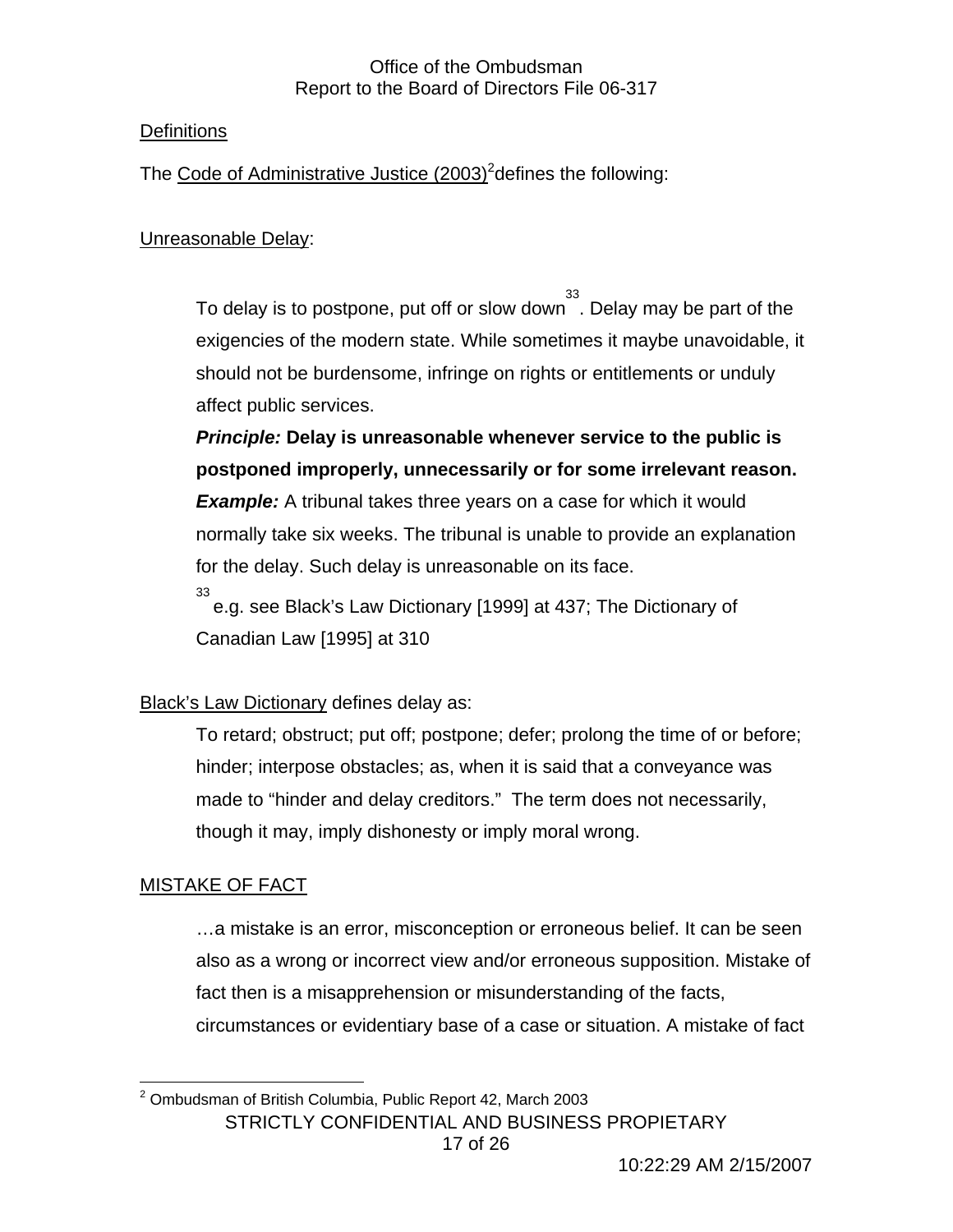## **Definitions**

The Code of Administrative Justice (2003)<sup>2</sup> defines the following:

## Unreasonable Delay:

To delay is to postpone, put off or slow down  $\overset{33}{\cdot}$ . Delay may be part of the exigencies of the modern state. While sometimes it maybe unavoidable, it should not be burdensome, infringe on rights or entitlements or unduly affect public services.

*Principle:* **Delay is unreasonable whenever service to the public is postponed improperly, unnecessarily or for some irrelevant reason. Example:** A tribunal takes three years on a case for which it would normally take six weeks. The tribunal is unable to provide an explanation for the delay. Such delay is unreasonable on its face. 33

e.g. see Black's Law Dictionary [1999] at 437; The Dictionary of Canadian Law [1995] at 310

## Black's Law Dictionary defines delay as:

To retard; obstruct; put off; postpone; defer; prolong the time of or before; hinder; interpose obstacles; as, when it is said that a conveyance was made to "hinder and delay creditors." The term does not necessarily, though it may, imply dishonesty or imply moral wrong.

## MISTAKE OF FACT

…a mistake is an error, misconception or erroneous belief. It can be seen also as a wrong or incorrect view and/or erroneous supposition. Mistake of fact then is a misapprehension or misunderstanding of the facts, circumstances or evidentiary base of a case or situation. A mistake of fact

STRICTLY CONFIDENTIAL AND BUSINESS PROPIETARY  $\overline{a}$  $2$  Ombudsman of British Columbia, Public Report 42, March 2003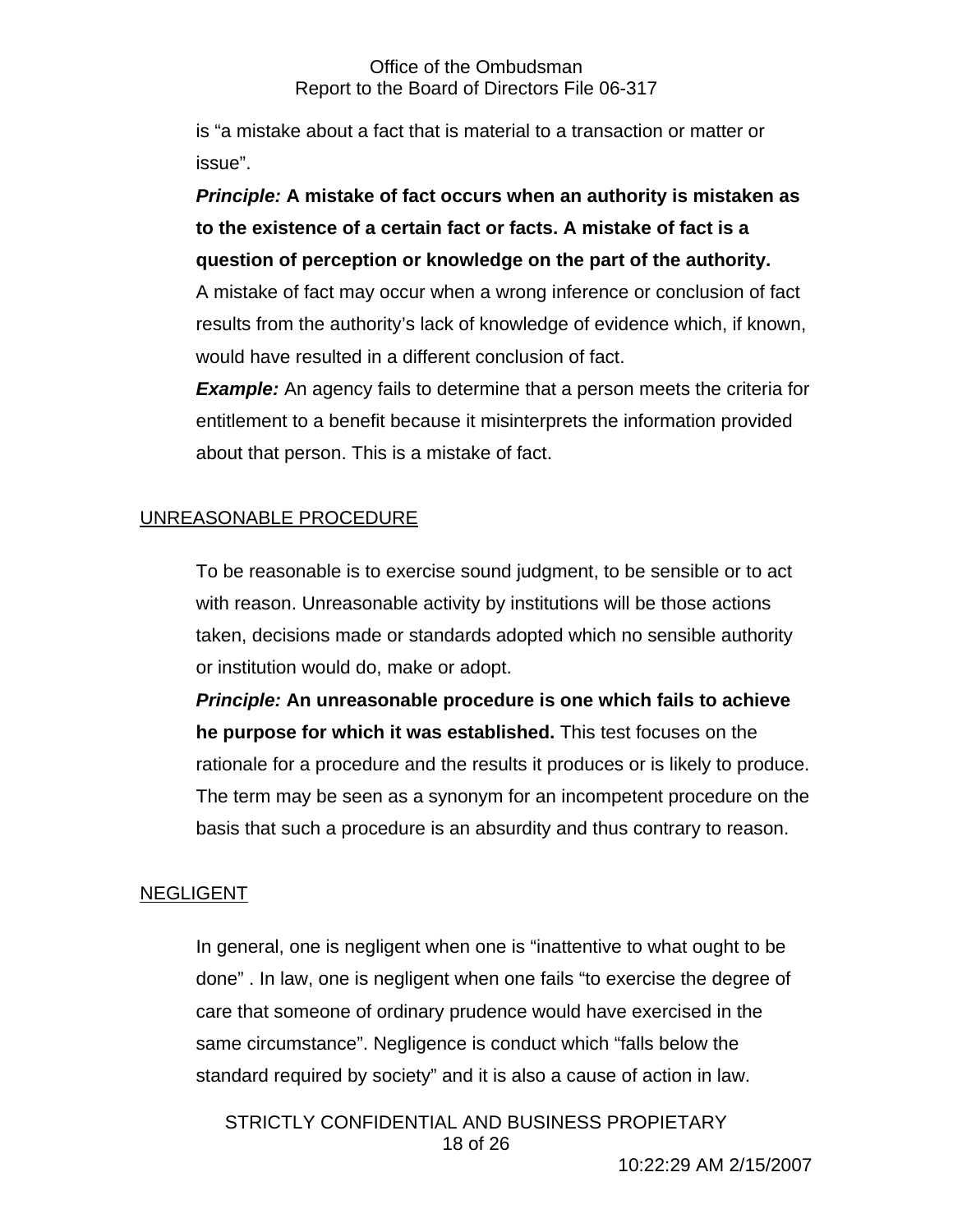is "a mistake about a fact that is material to a transaction or matter or issue".

*Principle:* **A mistake of fact occurs when an authority is mistaken as to the existence of a certain fact or facts. A mistake of fact is a question of perception or knowledge on the part of the authority.** 

A mistake of fact may occur when a wrong inference or conclusion of fact results from the authority's lack of knowledge of evidence which, if known, would have resulted in a different conclusion of fact.

*Example:* An agency fails to determine that a person meets the criteria for entitlement to a benefit because it misinterprets the information provided about that person. This is a mistake of fact.

## UNREASONABLE PROCEDURE

To be reasonable is to exercise sound judgment, to be sensible or to act with reason. Unreasonable activity by institutions will be those actions taken, decisions made or standards adopted which no sensible authority or institution would do, make or adopt.

*Principle:* **An unreasonable procedure is one which fails to achieve he purpose for which it was established.** This test focuses on the rationale for a procedure and the results it produces or is likely to produce. The term may be seen as a synonym for an incompetent procedure on the basis that such a procedure is an absurdity and thus contrary to reason.

## NEGLIGENT

In general, one is negligent when one is "inattentive to what ought to be done" . In law, one is negligent when one fails "to exercise the degree of care that someone of ordinary prudence would have exercised in the same circumstance". Negligence is conduct which "falls below the standard required by society" and it is also a cause of action in law.

STRICTLY CONFIDENTIAL AND BUSINESS PROPIETARY 18 of 26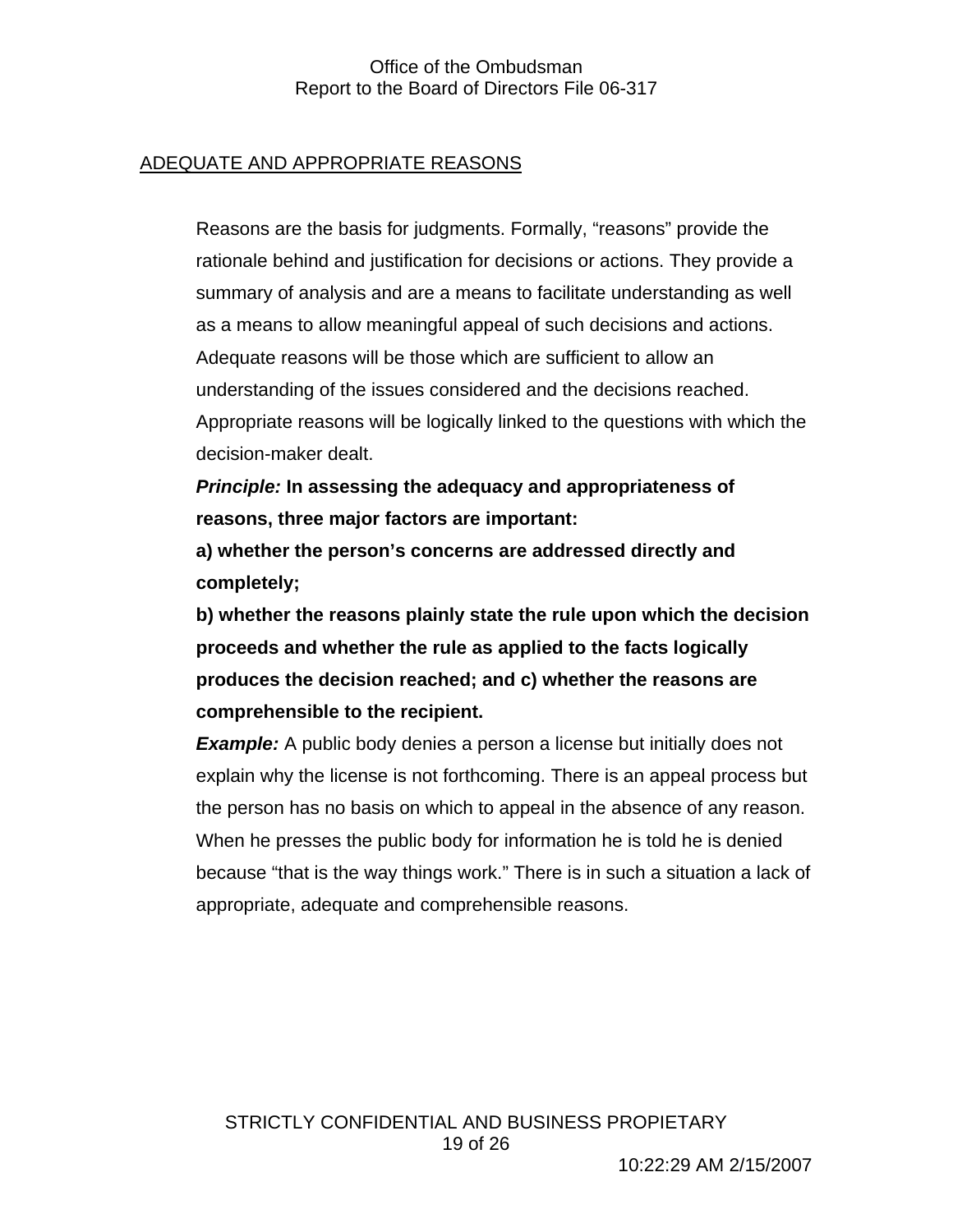## ADEQUATE AND APPROPRIATE REASONS

Reasons are the basis for judgments. Formally, "reasons" provide the rationale behind and justification for decisions or actions. They provide a summary of analysis and are a means to facilitate understanding as well as a means to allow meaningful appeal of such decisions and actions. Adequate reasons will be those which are sufficient to allow an understanding of the issues considered and the decisions reached. Appropriate reasons will be logically linked to the questions with which the decision-maker dealt.

*Principle:* **In assessing the adequacy and appropriateness of reasons, three major factors are important:** 

**a) whether the person's concerns are addressed directly and completely;** 

**b) whether the reasons plainly state the rule upon which the decision proceeds and whether the rule as applied to the facts logically produces the decision reached; and c) whether the reasons are comprehensible to the recipient.** 

**Example:** A public body denies a person a license but initially does not explain why the license is not forthcoming. There is an appeal process but the person has no basis on which to appeal in the absence of any reason. When he presses the public body for information he is told he is denied because "that is the way things work." There is in such a situation a lack of appropriate, adequate and comprehensible reasons.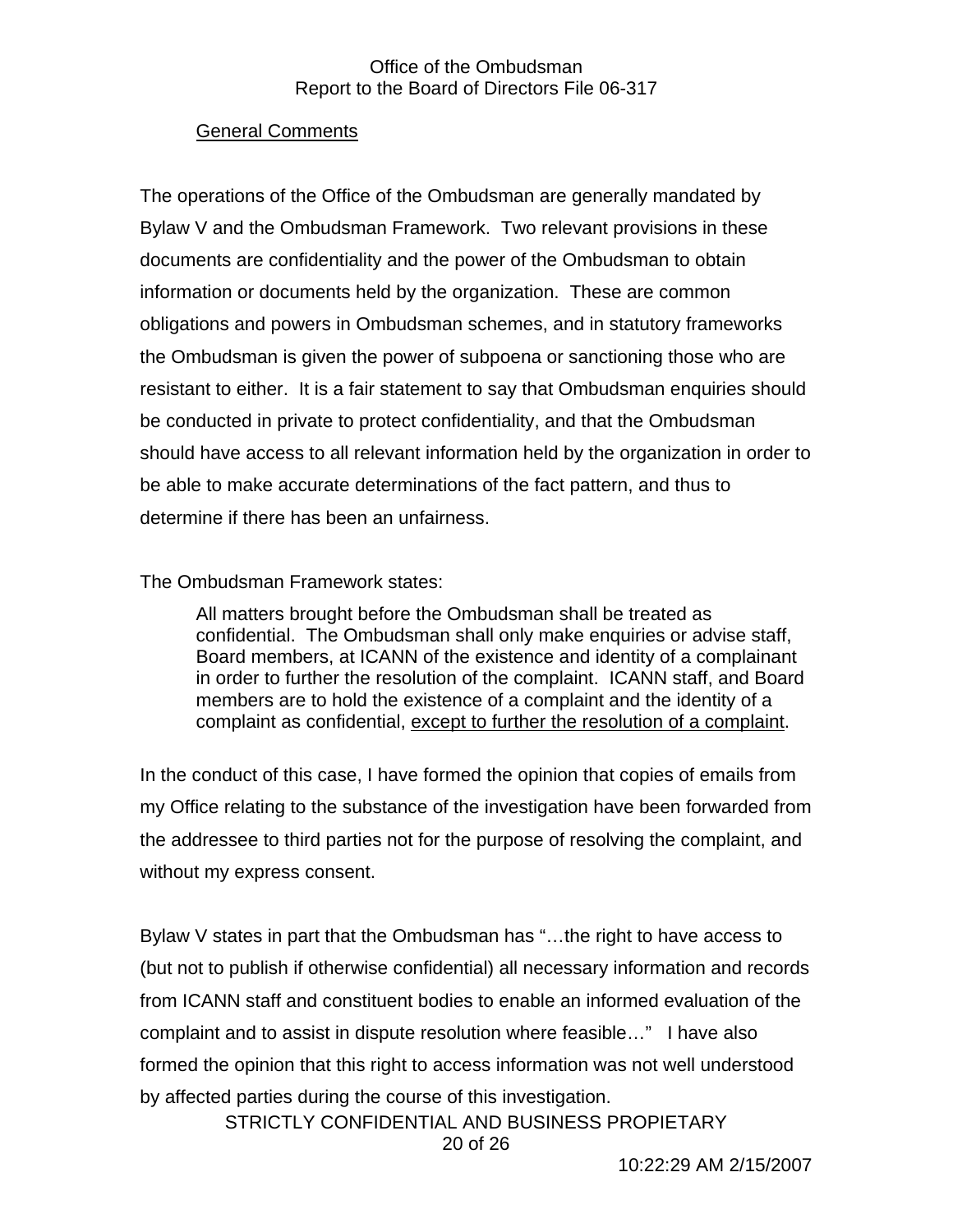#### General Comments

The operations of the Office of the Ombudsman are generally mandated by Bylaw V and the Ombudsman Framework. Two relevant provisions in these documents are confidentiality and the power of the Ombudsman to obtain information or documents held by the organization. These are common obligations and powers in Ombudsman schemes, and in statutory frameworks the Ombudsman is given the power of subpoena or sanctioning those who are resistant to either. It is a fair statement to say that Ombudsman enquiries should be conducted in private to protect confidentiality, and that the Ombudsman should have access to all relevant information held by the organization in order to be able to make accurate determinations of the fact pattern, and thus to determine if there has been an unfairness.

## The Ombudsman Framework states:

All matters brought before the Ombudsman shall be treated as confidential. The Ombudsman shall only make enquiries or advise staff, Board members, at ICANN of the existence and identity of a complainant in order to further the resolution of the complaint. ICANN staff, and Board members are to hold the existence of a complaint and the identity of a complaint as confidential, except to further the resolution of a complaint.

In the conduct of this case, I have formed the opinion that copies of emails from my Office relating to the substance of the investigation have been forwarded from the addressee to third parties not for the purpose of resolving the complaint, and without my express consent.

Bylaw V states in part that the Ombudsman has "…the right to have access to (but not to publish if otherwise confidential) all necessary information and records from ICANN staff and constituent bodies to enable an informed evaluation of the complaint and to assist in dispute resolution where feasible…" I have also formed the opinion that this right to access information was not well understood by affected parties during the course of this investigation.

STRICTLY CONFIDENTIAL AND BUSINESS PROPIETARY 20 of 26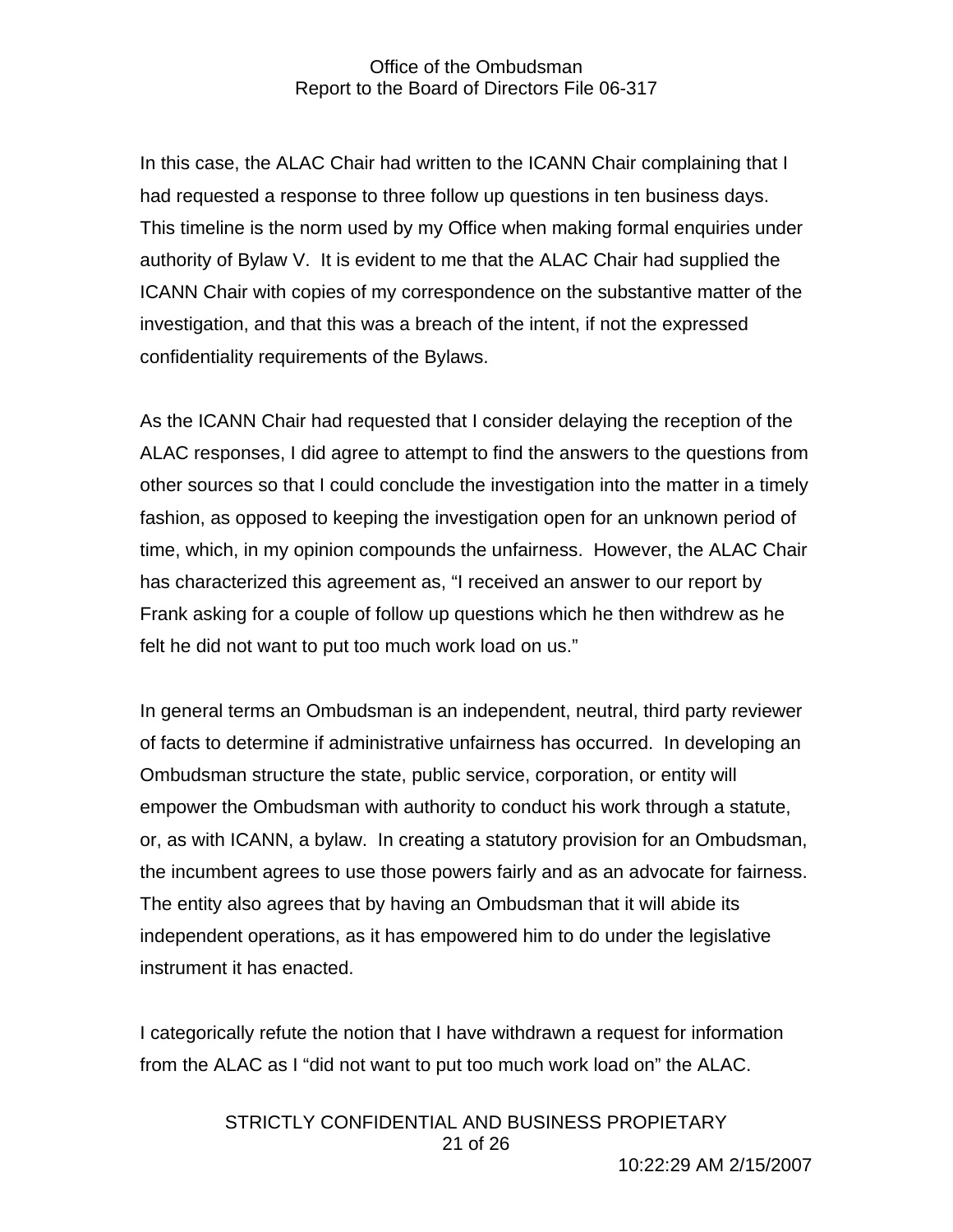In this case, the ALAC Chair had written to the ICANN Chair complaining that I had requested a response to three follow up questions in ten business days. This timeline is the norm used by my Office when making formal enquiries under authority of Bylaw V. It is evident to me that the ALAC Chair had supplied the ICANN Chair with copies of my correspondence on the substantive matter of the investigation, and that this was a breach of the intent, if not the expressed confidentiality requirements of the Bylaws.

As the ICANN Chair had requested that I consider delaying the reception of the ALAC responses, I did agree to attempt to find the answers to the questions from other sources so that I could conclude the investigation into the matter in a timely fashion, as opposed to keeping the investigation open for an unknown period of time, which, in my opinion compounds the unfairness. However, the ALAC Chair has characterized this agreement as, "I received an answer to our report by Frank asking for a couple of follow up questions which he then withdrew as he felt he did not want to put too much work load on us."

In general terms an Ombudsman is an independent, neutral, third party reviewer of facts to determine if administrative unfairness has occurred. In developing an Ombudsman structure the state, public service, corporation, or entity will empower the Ombudsman with authority to conduct his work through a statute, or, as with ICANN, a bylaw. In creating a statutory provision for an Ombudsman, the incumbent agrees to use those powers fairly and as an advocate for fairness. The entity also agrees that by having an Ombudsman that it will abide its independent operations, as it has empowered him to do under the legislative instrument it has enacted.

I categorically refute the notion that I have withdrawn a request for information from the ALAC as I "did not want to put too much work load on" the ALAC.

> STRICTLY CONFIDENTIAL AND BUSINESS PROPIETARY 21 of 26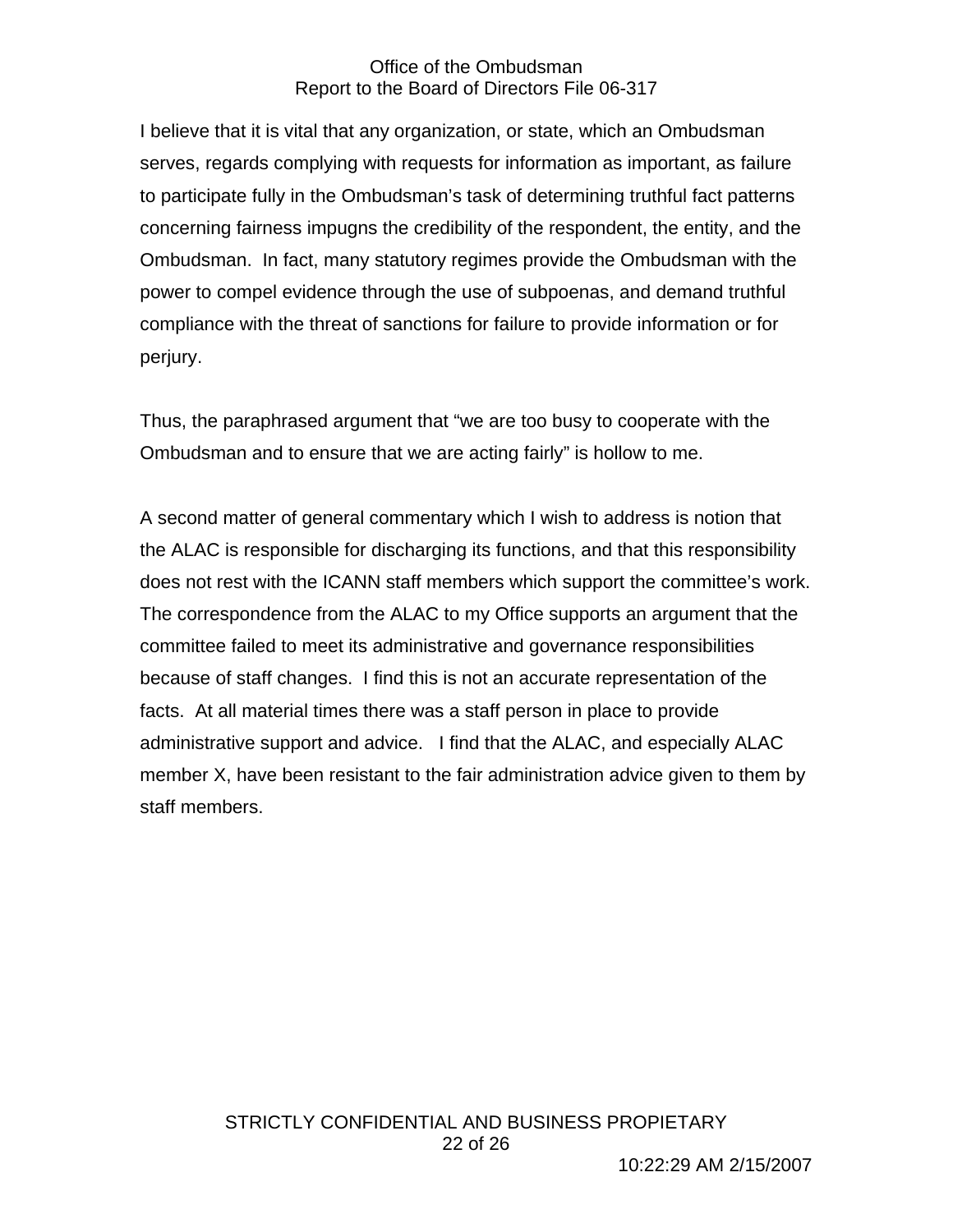I believe that it is vital that any organization, or state, which an Ombudsman serves, regards complying with requests for information as important, as failure to participate fully in the Ombudsman's task of determining truthful fact patterns concerning fairness impugns the credibility of the respondent, the entity, and the Ombudsman. In fact, many statutory regimes provide the Ombudsman with the power to compel evidence through the use of subpoenas, and demand truthful compliance with the threat of sanctions for failure to provide information or for perjury.

Thus, the paraphrased argument that "we are too busy to cooperate with the Ombudsman and to ensure that we are acting fairly" is hollow to me.

A second matter of general commentary which I wish to address is notion that the ALAC is responsible for discharging its functions, and that this responsibility does not rest with the ICANN staff members which support the committee's work. The correspondence from the ALAC to my Office supports an argument that the committee failed to meet its administrative and governance responsibilities because of staff changes. I find this is not an accurate representation of the facts. At all material times there was a staff person in place to provide administrative support and advice. I find that the ALAC, and especially ALAC member X, have been resistant to the fair administration advice given to them by staff members.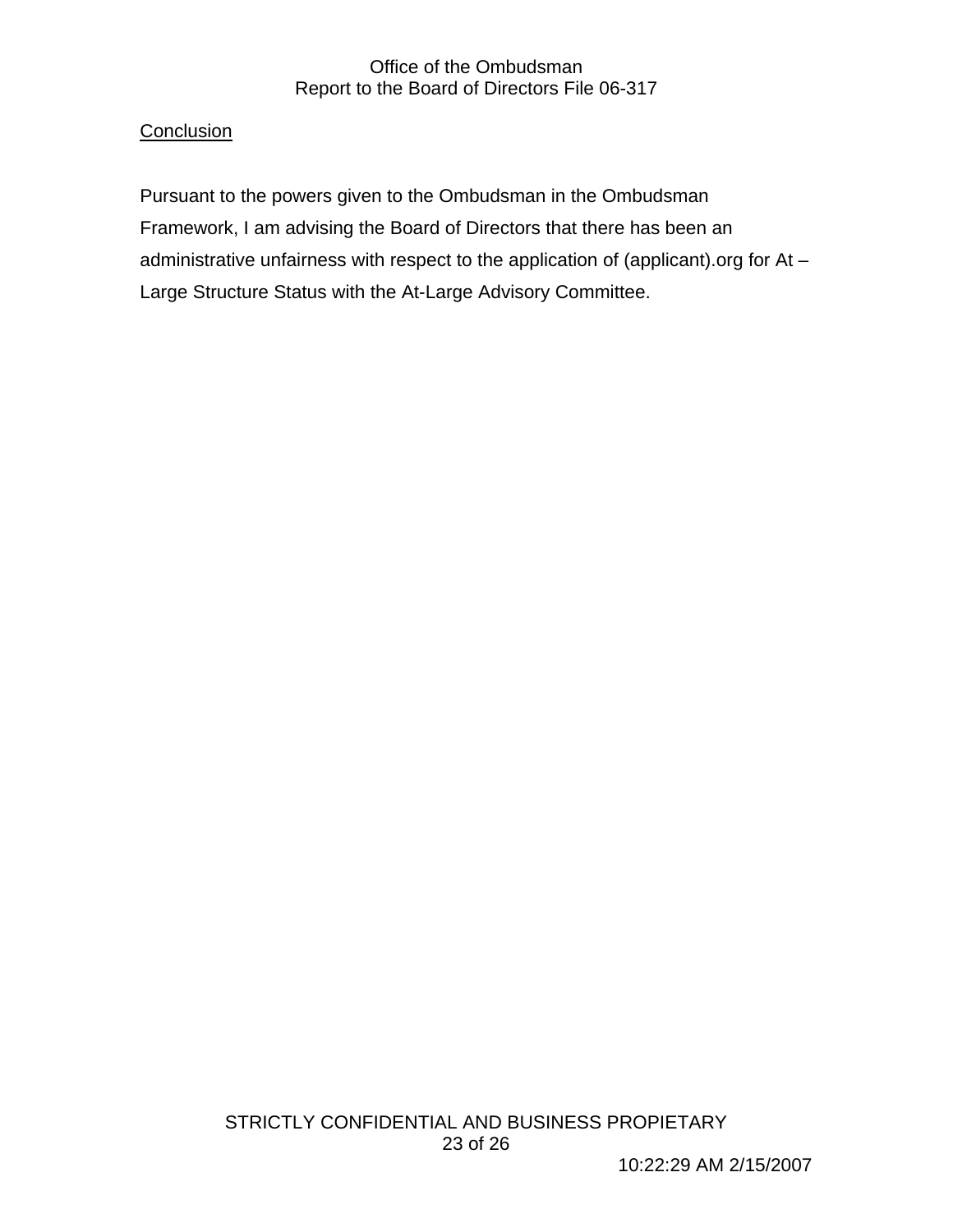## **Conclusion**

Pursuant to the powers given to the Ombudsman in the Ombudsman Framework, I am advising the Board of Directors that there has been an administrative unfairness with respect to the application of (applicant).org for At -Large Structure Status with the At-Large Advisory Committee.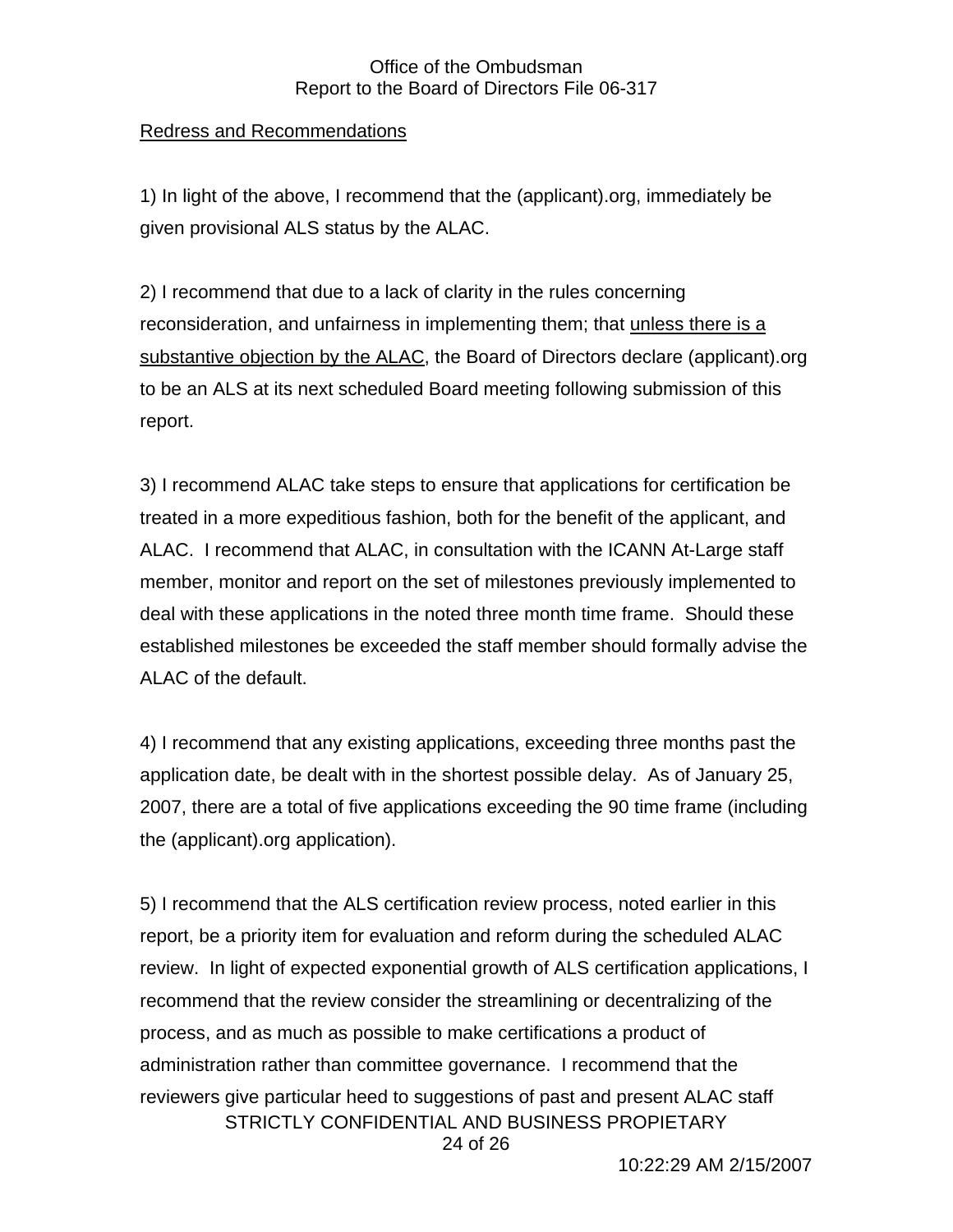## Redress and Recommendations

1) In light of the above, I recommend that the (applicant).org, immediately be given provisional ALS status by the ALAC.

2) I recommend that due to a lack of clarity in the rules concerning reconsideration, and unfairness in implementing them; that unless there is a substantive objection by the ALAC, the Board of Directors declare (applicant).org to be an ALS at its next scheduled Board meeting following submission of this report.

3) I recommend ALAC take steps to ensure that applications for certification be treated in a more expeditious fashion, both for the benefit of the applicant, and ALAC. I recommend that ALAC, in consultation with the ICANN At-Large staff member, monitor and report on the set of milestones previously implemented to deal with these applications in the noted three month time frame. Should these established milestones be exceeded the staff member should formally advise the ALAC of the default.

4) I recommend that any existing applications, exceeding three months past the application date, be dealt with in the shortest possible delay. As of January 25, 2007, there are a total of five applications exceeding the 90 time frame (including the (applicant).org application).

STRICTLY CONFIDENTIAL AND BUSINESS PROPIETARY 24 of 26 5) I recommend that the ALS certification review process, noted earlier in this report, be a priority item for evaluation and reform during the scheduled ALAC review. In light of expected exponential growth of ALS certification applications, I recommend that the review consider the streamlining or decentralizing of the process, and as much as possible to make certifications a product of administration rather than committee governance. I recommend that the reviewers give particular heed to suggestions of past and present ALAC staff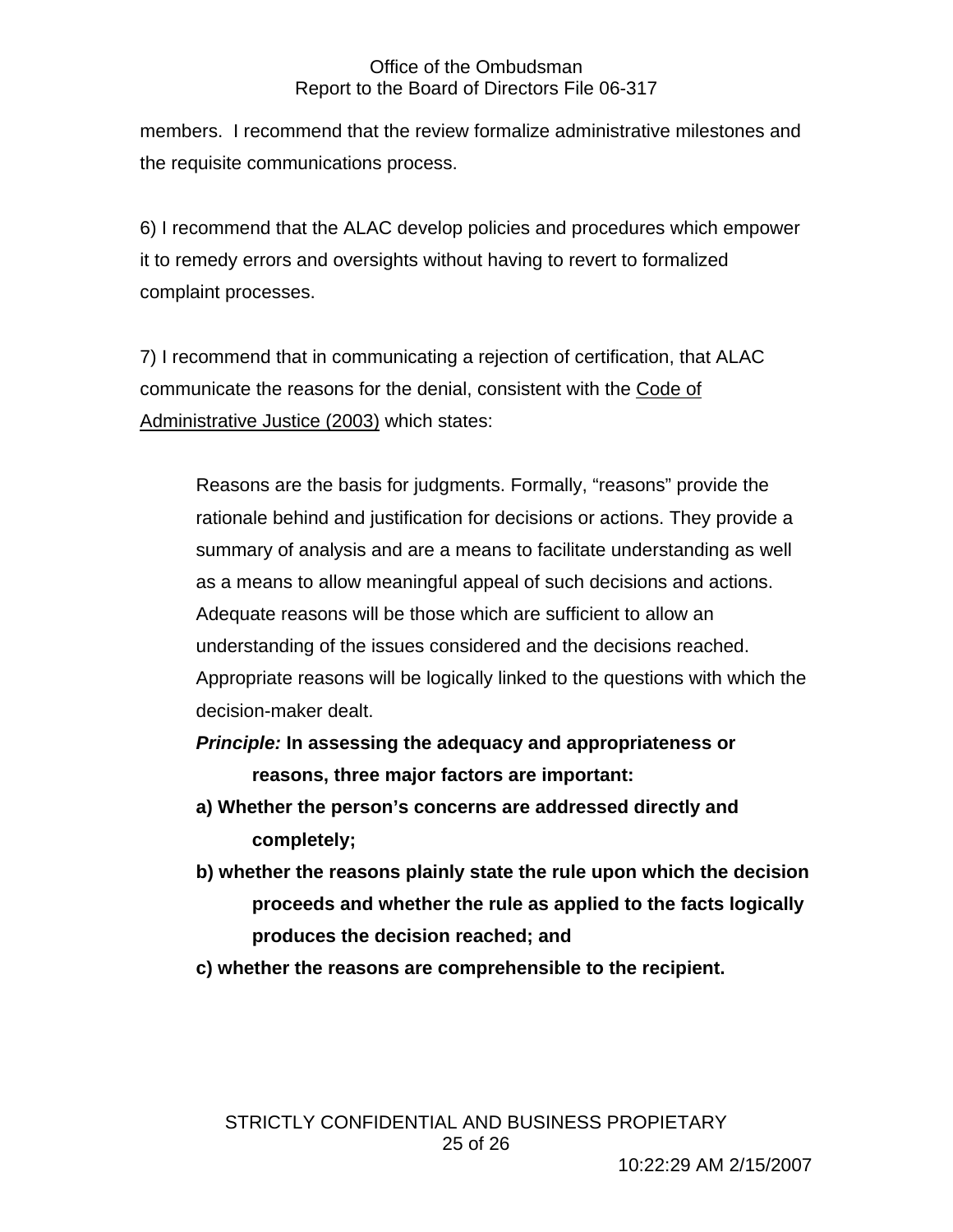members. I recommend that the review formalize administrative milestones and the requisite communications process.

6) I recommend that the ALAC develop policies and procedures which empower it to remedy errors and oversights without having to revert to formalized complaint processes.

7) I recommend that in communicating a rejection of certification, that ALAC communicate the reasons for the denial, consistent with the Code of Administrative Justice (2003) which states:

Reasons are the basis for judgments. Formally, "reasons" provide the rationale behind and justification for decisions or actions. They provide a summary of analysis and are a means to facilitate understanding as well as a means to allow meaningful appeal of such decisions and actions. Adequate reasons will be those which are sufficient to allow an understanding of the issues considered and the decisions reached. Appropriate reasons will be logically linked to the questions with which the decision-maker dealt.

- *Principle:* **In assessing the adequacy and appropriateness or reasons, three major factors are important:**
- **a) Whether the person's concerns are addressed directly and completely;**
- **b) whether the reasons plainly state the rule upon which the decision proceeds and whether the rule as applied to the facts logically produces the decision reached; and**
- **c) whether the reasons are comprehensible to the recipient.**